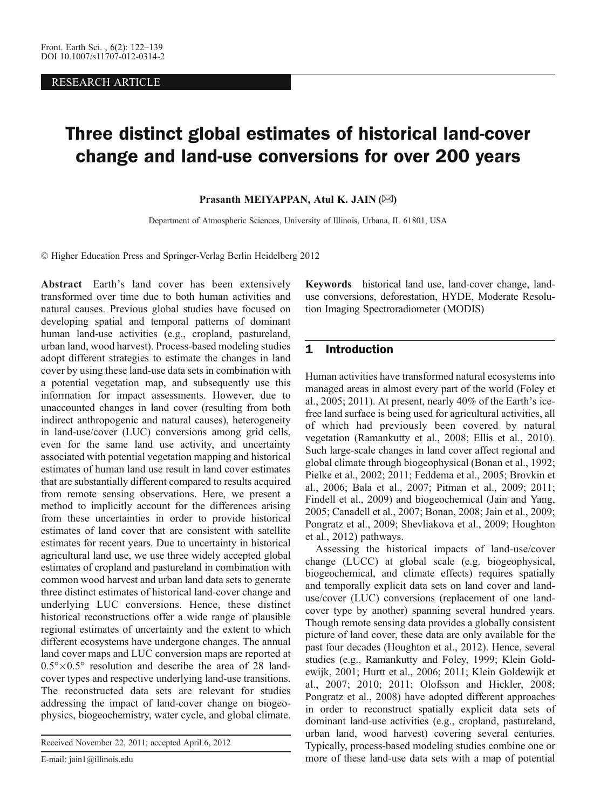# Three distinct global estimates of historical land-cover change and land-use conversions for over 200 years

Prasanth MEIYAPPAN, Atul K. JAIN  $(\boxtimes)$ 

Department of Atmospheric Sciences, University of Illinois, Urbana, IL 61801, USA

© Higher Education Press and Springer-Verlag Berlin Heidelberg 2012

Abstract Earth's land cover has been extensively transformed over time due to both human activities and natural causes. Previous global studies have focused on developing spatial and temporal patterns of dominant human land-use activities (e.g., cropland, pastureland, urban land, wood harvest). Process-based modeling studies adopt different strategies to estimate the changes in land cover by using these land-use data sets in combination with a potential vegetation map, and subsequently use this information for impact assessments. However, due to unaccounted changes in land cover (resulting from both indirect anthropogenic and natural causes), heterogeneity in land-use/cover (LUC) conversions among grid cells, even for the same land use activity, and uncertainty associated with potential vegetation mapping and historical estimates of human land use result in land cover estimates that are substantially different compared to results acquired from remote sensing observations. Here, we present a method to implicitly account for the differences arising from these uncertainties in order to provide historical estimates of land cover that are consistent with satellite estimates for recent years. Due to uncertainty in historical agricultural land use, we use three widely accepted global estimates of cropland and pastureland in combination with common wood harvest and urban land data sets to generate three distinct estimates of historical land-cover change and underlying LUC conversions. Hence, these distinct historical reconstructions offer a wide range of plausible regional estimates of uncertainty and the extent to which different ecosystems have undergone changes. The annual land cover maps and LUC conversion maps are reported at  $0.5^{\circ} \times 0.5^{\circ}$  resolution and describe the area of 28 landcover types and respective underlying land-use transitions. The reconstructed data sets are relevant for studies addressing the impact of land-cover change on biogeophysics, biogeochemistry, water cycle, and global climate.

E-mail: jain1@illinois.edu

Keywords historical land use, land-cover change, landuse conversions, deforestation, HYDE, Moderate Resolution Imaging Spectroradiometer (MODIS)

# 1 Introduction

Human activities have transformed natural ecosystems into managed areas in almost every part of the world ([Foley et](#page-13-0) [al., 2005](#page-13-0); [2011](#page-13-0)). At present, nearly 40% of the Earth's icefree land surface is being used for agricultural activities, all of which had previously been covered by natural vegetation [\(Ramankutty et al., 2008](#page-14-0); [Ellis et al., 2010\)](#page-13-0). Such large-scale changes in land cover affect regional and global climate through biogeophysical [\(Bonan et al., 1992;](#page-12-0) [Pielke et al., 2002; 2011;](#page-14-0) [Feddema et al., 2005](#page-13-0); [Brovkin et](#page-12-0) [al., 2006](#page-12-0); [Bala et al., 2007;](#page-12-0) [Pitman et al., 2009; 2011;](#page-14-0) [Findell et al., 2009](#page-13-0)) and biogeochemical [\(Jain and Yang,](#page-13-0) [2005](#page-13-0); [Canadell et al., 2007](#page-12-0); [Bonan, 2008;](#page-12-0) [Jain et al., 2009;](#page-13-0) [Pongratz et al., 2009](#page-14-0); [Shevliakova et al., 2009;](#page-14-0) [Houghton](#page-13-0) [et al., 2012](#page-13-0)) pathways.

Assessing the historical impacts of land-use/cover change (LUCC) at global scale (e.g. biogeophysical, biogeochemical, and climate effects) requires spatially and temporally explicit data sets on land cover and landuse/cover (LUC) conversions (replacement of one landcover type by another) spanning several hundred years. Though remote sensing data provides a globally consistent picture of land cover, these data are only available for the past four decades ([Houghton et al., 2012](#page-13-0)). Hence, several studies (e.g., [Ramankutty and Foley, 1999;](#page-14-0) [Klein Gold](#page-13-0)[ewijk, 2001](#page-13-0); [Hurtt et al., 2006; 2011; Klein Goldewijk et](#page-13-0) [al., 2007; 2010; 2011](#page-13-0); [Olofsson and Hickler, 2008;](#page-14-0) [Pongratz et al., 2008\)](#page-14-0) have adopted different approaches in order to reconstruct spatially explicit data sets of dominant land-use activities (e.g., cropland, pastureland, urban land, wood harvest) covering several centuries. Typically, process-based modeling studies combine one or more of these land-use data sets with a map of potential

Received November 22, 2011; accepted April 6, 2012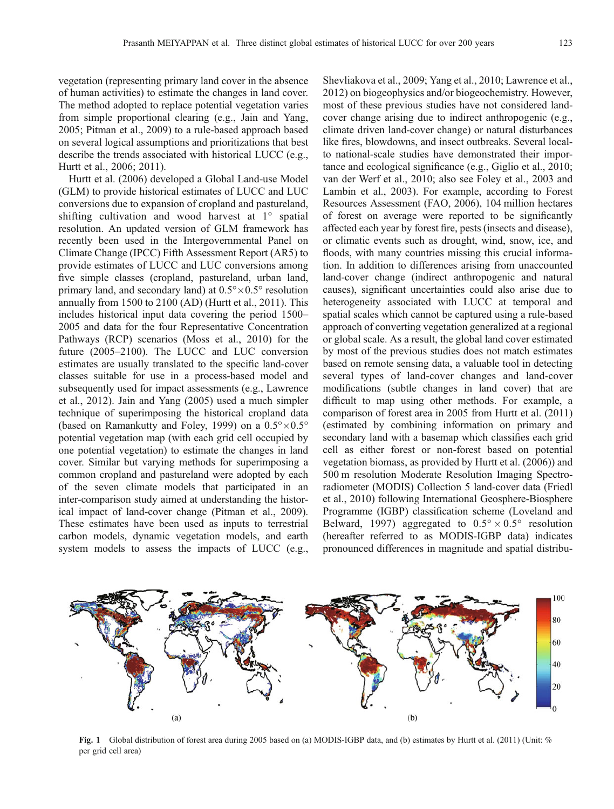vegetation (representing primary land cover in the absence of human activities) to estimate the changes in land cover. The method adopted to replace potential vegetation varies from simple proportional clearing (e.g., [Jain and Yang,](#page-13-0) [2005;](#page-13-0) [Pitman et al., 2009\)](#page-14-0) to a rule-based approach based on several logical assumptions and prioritizations that best describe the trends associated with historical LUCC (e.g., [Hurtt et al., 2006; 2011](#page-13-0)).

Hurtt et al. [\(2006](#page-13-0)) developed a Global Land-use Model (GLM) to provide historical estimates of LUCC and LUC conversions due to expansion of cropland and pastureland, shifting cultivation and wood harvest at 1° spatial resolution. An updated version of GLM framework has recently been used in the Intergovernmental Panel on Climate Change (IPCC) Fifth Assessment Report (AR5) to provide estimates of LUCC and LUC conversions among five simple classes (cropland, pastureland, urban land, primary land, and secondary land) at  $0.5^{\circ} \times 0.5^{\circ}$  resolution annually from 1500 to 2100 (AD) [\(Hurtt et al., 2011](#page-13-0)). This includes historical input data covering the period 1500– 2005 and data for the four Representative Concentration Pathways (RCP) scenarios ([Moss et al., 2010](#page-14-0)) for the future (2005–2100). The LUCC and LUC conversion estimates are usually translated to the specific land-cover classes suitable for use in a process-based model and subsequently used for impact assessments (e.g., [Lawrence](#page-13-0) [et al., 2012](#page-13-0)). Jain and Yang [\(2005](#page-13-0)) used a much simpler technique of superimposing the historical cropland data (based on [Ramankutty and Foley, 1999](#page-14-0)) on a  $0.5^{\circ} \times 0.5^{\circ}$ potential vegetation map (with each grid cell occupied by one potential vegetation) to estimate the changes in land cover. Similar but varying methods for superimposing a common cropland and pastureland were adopted by each of the seven climate models that participated in an inter-comparison study aimed at understanding the historical impact of land-cover change ([Pitman et al., 2009](#page-14-0)). These estimates have been used as inputs to terrestrial carbon models, dynamic vegetation models, and earth system models to assess the impacts of LUCC (e.g.,

[Shevliakova et al., 2009; Yang et al., 2010;](#page-14-0) [Lawrence et al.,](#page-13-0) [2012](#page-13-0)) on biogeophysics and/or biogeochemistry. However, most of these previous studies have not considered landcover change arising due to indirect anthropogenic (e.g., climate driven land-cover change) or natural disturbances like fires, blowdowns, and insect outbreaks. Several localto national-scale studies have demonstrated their importance and ecological significance (e.g., [Giglio et al., 2010;](#page-13-0) [van der Werf et al., 2010;](#page-14-0) also see [Foley et al., 2003](#page-13-0) and [Lambin et al., 2003](#page-13-0)). For example, according to Forest Resources Assessment ([FAO, 2006\)](#page-13-0), 104 million hectares of forest on average were reported to be significantly affected each year by forest fire, pests (insects and disease), or climatic events such as drought, wind, snow, ice, and floods, with many countries missing this crucial information. In addition to differences arising from unaccounted land-cover change (indirect anthropogenic and natural causes), significant uncertainties could also arise due to heterogeneity associated with LUCC at temporal and spatial scales which cannot be captured using a rule-based approach of converting vegetation generalized at a regional or global scale. As a result, the global land cover estimated by most of the previous studies does not match estimates based on remote sensing data, a valuable tool in detecting several types of land-cover changes and land-cover modifications (subtle changes in land cover) that are difficult to map using other methods. For example, a comparison of forest area in 2005 from Hurtt et al. ([2011](#page-13-0)) (estimated by combining information on primary and secondary land with a basemap which classifies each grid cell as either forest or non-forest based on potential vegetation biomass, as provided by Hurtt et al. ([2006](#page-13-0))) and 500 m resolution Moderate Resolution Imaging Spectroradiometer (MODIS) Collection 5 land-cover data [\(Friedl](#page-13-0) [et al., 2010](#page-13-0)) following International Geosphere-Biosphere Programme (IGBP) classification scheme [\(Loveland and](#page-14-0) [Belward, 1997](#page-14-0)) aggregated to  $0.5^{\circ} \times 0.5^{\circ}$  resolution (hereafter referred to as MODIS-IGBP data) indicates pronounced differences in magnitude and spatial distribu-



Fig. 1 Global distribution of forest area during 2005 based on (a) MODIS-IGBP data, and (b) estimates by Hurtt et al. [\(2011\)](#page-13-0) (Unit: % per grid cell area)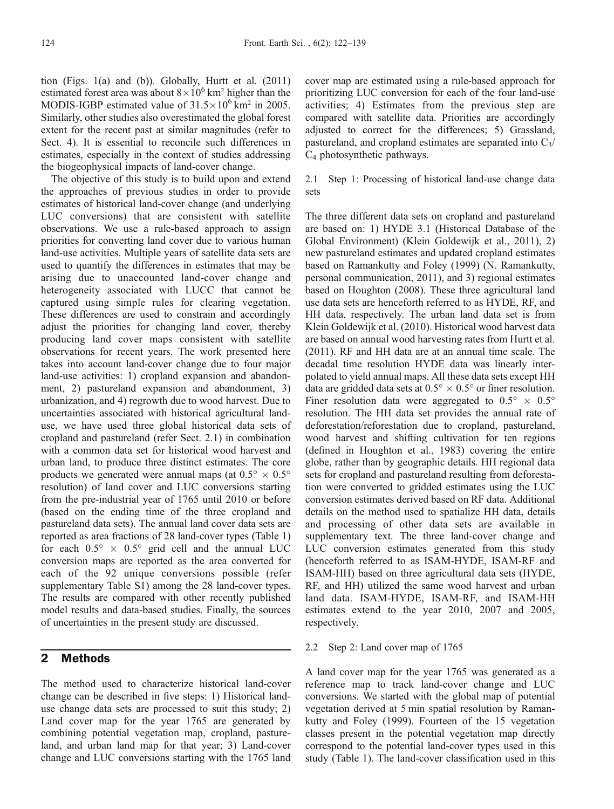tion (Figs. 1(a) and (b)). Globally, Hurtt et al. [\(2011\)](#page-13-0) estimated forest area was about  $8\times10^6$  km<sup>2</sup> higher than the MODIS-IGBP estimated value of  $31.5\times10^{6}$  km<sup>2</sup> in 2005. Similarly, other studies also overestimated the global forest extent for the recent past at similar magnitudes (refer to Sect. 4). It is essential to reconcile such differences in estimates, especially in the context of studies addressing the biogeophysical impacts of land-cover change.

The objective of this study is to build upon and extend the approaches of previous studies in order to provide estimates of historical land-cover change (and underlying LUC conversions) that are consistent with satellite observations. We use a rule-based approach to assign priorities for converting land cover due to various human land-use activities. Multiple years of satellite data sets are used to quantify the differences in estimates that may be arising due to unaccounted land-cover change and heterogeneity associated with LUCC that cannot be captured using simple rules for clearing vegetation. These differences are used to constrain and accordingly adjust the priorities for changing land cover, thereby producing land cover maps consistent with satellite observations for recent years. The work presented here takes into account land-cover change due to four major land-use activities: 1) cropland expansion and abandonment, 2) pastureland expansion and abandonment, 3) urbanization, and 4) regrowth due to wood harvest. Due to uncertainties associated with historical agricultural landuse, we have used three global historical data sets of cropland and pastureland (refer Sect. 2.1) in combination with a common data set for historical wood harvest and urban land, to produce three distinct estimates. The core products we generated were annual maps (at  $0.5^{\circ} \times 0.5^{\circ}$ resolution) of land cover and LUC conversions starting from the pre-industrial year of 1765 until 2010 or before (based on the ending time of the three cropland and pastureland data sets). The annual land cover data sets are reported as area fractions of 28 land-cover types (Table 1) for each  $0.5^{\circ} \times 0.5^{\circ}$  grid cell and the annual LUC conversion maps are reported as the area converted for each of the 92 unique conversions possible (refer supplementary Table S1) among the 28 land-cover types. The results are compared with other recently published model results and data-based studies. Finally, the sources of uncertainties in the present study are discussed.

# 2 Methods

The method used to characterize historical land-cover change can be described in five steps: 1) Historical landuse change data sets are processed to suit this study; 2) Land cover map for the year 1765 are generated by combining potential vegetation map, cropland, pastureland, and urban land map for that year; 3) Land-cover change and LUC conversions starting with the 1765 land

cover map are estimated using a rule-based approach for prioritizing LUC conversion for each of the four land-use activities; 4) Estimates from the previous step are compared with satellite data. Priorities are accordingly adjusted to correct for the differences; 5) Grassland, pastureland, and cropland estimates are separated into  $C_3$ / C4 photosynthetic pathways.

2.1 Step 1: Processing of historical land-use change data sets

The three different data sets on cropland and pastureland are based on: 1) HYDE 3.1 (Historical Database of the Global Environment) [\(Klein Goldewijk et al., 2011\)](#page-13-0), 2) new pastureland estimates and updated cropland estimates based on Ramankutty and Foley ([1999\)](#page-14-0) (N. Ramankutty, personal communication, 2011), and 3) regional estimates based on Houghton [\(2008](#page-13-0)). These three agricultural land use data sets are henceforth referred to as HYDE, RF, and HH data, respectively. The urban land data set is from Klein Goldewijk et al. [\(2010](#page-13-0)). Historical wood harvest data are based on annual wood harvesting rates from Hurtt et al. ([2011](#page-13-0)). RF and HH data are at an annual time scale. The decadal time resolution HYDE data was linearly interpolated to yield annual maps. All these data sets except HH data are gridded data sets at  $0.5^{\circ} \times 0.5^{\circ}$  or finer resolution. Finer resolution data were aggregated to  $0.5^{\circ} \times 0.5^{\circ}$ resolution. The HH data set provides the annual rate of deforestation/reforestation due to cropland, pastureland, wood harvest and shifting cultivation for ten regions (defined in [Houghton et al., 1983](#page-13-0)) covering the entire globe, rather than by geographic details. HH regional data sets for cropland and pastureland resulting from deforestation were converted to gridded estimates using the LUC conversion estimates derived based on RF data. Additional details on the method used to spatialize HH data, details and processing of other data sets are available in supplementary text. The three land-cover change and LUC conversion estimates generated from this study (henceforth referred to as ISAM-HYDE, ISAM-RF and ISAM-HH) based on three agricultural data sets (HYDE, RF, and HH) utilized the same wood harvest and urban land data. ISAM-HYDE, ISAM-RF, and ISAM-HH estimates extend to the year 2010, 2007 and 2005, respectively.

#### 2.2 Step 2: Land cover map of 1765

A land cover map for the year 1765 was generated as a reference map to track land-cover change and LUC conversions. We started with the global map of potential vegetation derived at 5 min spatial resolution by Ramankutty and Foley ([1999\)](#page-14-0). Fourteen of the 15 vegetation classes present in the potential vegetation map directly correspond to the potential land-cover types used in this study (Table 1). The land-cover classification used in this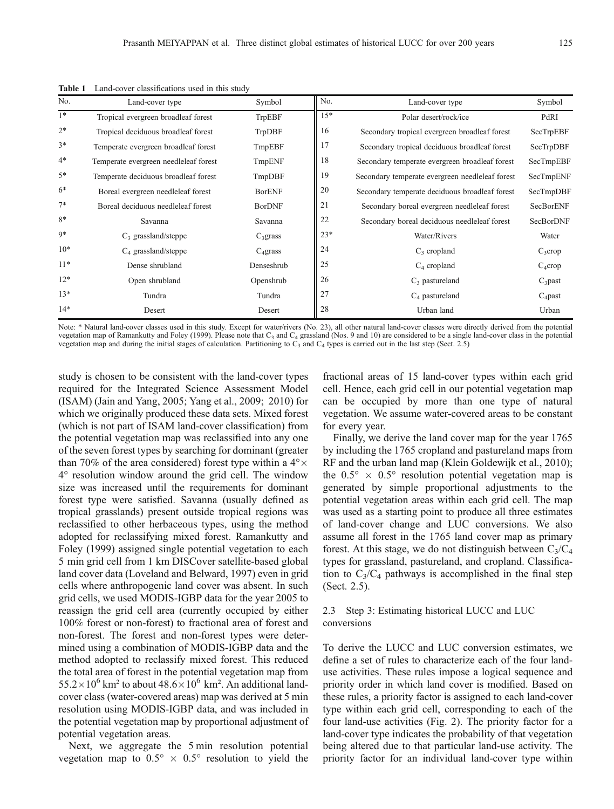| No.   | Land-cover type                       | Symbol        | No.   | Land-cover type                                 | Symbol     |
|-------|---------------------------------------|---------------|-------|-------------------------------------------------|------------|
| $1*$  | Tropical evergreen broadleaf forest   | TrpEBF        | $15*$ | Polar desert/rock/ice                           | PdRI       |
| $2*$  | Tropical deciduous broadleaf forest   | TrpDBF        | 16    | Secondary tropical evergreen broadleaf forest   | SecTrpEBF  |
| $3*$  | Temperate evergreen broadleaf forest  | TmpEBF        | 17    | Secondary tropical deciduous broadleaf forest   | SecTrpDBF  |
| $4*$  | Temperate evergreen needleleaf forest | TmpENF        | 18    | Secondary temperate evergreen broadleaf forest  | SecTmpEBF  |
| $5*$  | Temperate deciduous broadleaf forest  | TmpDBF        | 19    | Secondary temperate evergreen needleleaf forest | SecTmpENF  |
| 6*    | Boreal evergreen needleleaf forest    | <b>BorENF</b> | 20    | Secondary temperate deciduous broadleaf forest  | SecTmpDBF  |
| $7*$  | Boreal deciduous needleleaf forest    | <b>BorDNF</b> | 21    | Secondary boreal evergreen needleleaf forest    | SecBorENF  |
| $8*$  | Savanna                               | Savanna       | 22    | Secondary boreal deciduous needleleaf forest    | SecBorDNF  |
| $9*$  | $C_3$ grassland/steppe                | $C_3$ grass   | $23*$ | Water/Rivers                                    | Water      |
| $10*$ | $C_4$ grassland/steppe                | $C_4$ grass   | 24    | $C_3$ cropland                                  | $C_3$ crop |
| $11*$ | Dense shrubland                       | Denseshrub    | 25    | $C_4$ cropland                                  | $C_4$ crop |
| $12*$ | Open shrubland                        | Openshrub     | 26    | $C_3$ pastureland                               | $C_3$ past |
| $13*$ | Tundra                                | Tundra        | 27    | $C_4$ pastureland                               | $C_4$ past |
| $14*$ | Desert                                | Desert        | 28    | Urban land                                      | Urban      |

Table 1 Land-cover classifications used in this study

Note: \* Natural land-cover classes used in this study. Except for water/rivers (No. 23), all other natural land-cover classes were directly derived from the potential vegetation map of Ramankutty and Foley ([1999](#page-14-0)). Please note that  $C_3$  and  $C_4$  grassland (Nos. 9 and 10) are considered to be a single land-cover class in the potential vegetation map and during the initial stages of calculation. Partitioning to  $C_3$  and  $C_4$  types is carried out in the last step (Sect. 2.5)

study is chosen to be consistent with the land-cover types required for the Integrated Science Assessment Model (ISAM) ([Jain and Yang, 2005;](#page-13-0) [Yang et al., 2009](#page-14-0); [2010](#page-14-0)) for which we originally produced these data sets. Mixed forest (which is not part of ISAM land-cover classification) from the potential vegetation map was reclassified into any one of the seven forest types by searching for dominant (greater than 70% of the area considered) forest type within a  $4^{\circ} \times$ 4° resolution window around the grid cell. The window size was increased until the requirements for dominant forest type were satisfied. Savanna (usually defined as tropical grasslands) present outside tropical regions was reclassified to other herbaceous types, using the method adopted for reclassifying mixed forest. Ramankutty and Foley [\(1999](#page-14-0)) assigned single potential vegetation to each 5 min grid cell from 1 km DISCover satellite-based global land cover data ([Loveland and Belward, 1997\)](#page-14-0) even in grid cells where anthropogenic land cover was absent. In such grid cells, we used MODIS-IGBP data for the year 2005 to reassign the grid cell area (currently occupied by either 100% forest or non-forest) to fractional area of forest and non-forest. The forest and non-forest types were determined using a combination of MODIS-IGBP data and the method adopted to reclassify mixed forest. This reduced the total area of forest in the potential vegetation map from  $55.2\times10^6$  km<sup>2</sup> to about  $48.6\times10^6$  km<sup>2</sup>. An additional landcover class (water-covered areas) map was derived at 5 min resolution using MODIS-IGBP data, and was included in the potential vegetation map by proportional adjustment of potential vegetation areas.

Next, we aggregate the 5 min resolution potential vegetation map to  $0.5^{\circ} \times 0.5^{\circ}$  resolution to yield the

fractional areas of 15 land-cover types within each grid cell. Hence, each grid cell in our potential vegetation map can be occupied by more than one type of natural vegetation. We assume water-covered areas to be constant for every year.

Finally, we derive the land cover map for the year 1765 by including the 1765 cropland and pastureland maps from RF and the urban land map ([Klein Goldewijk et al., 2010](#page-13-0)); the  $0.5^{\circ} \times 0.5^{\circ}$  resolution potential vegetation map is generated by simple proportional adjustments to the potential vegetation areas within each grid cell. The map was used as a starting point to produce all three estimates of land-cover change and LUC conversions. We also assume all forest in the 1765 land cover map as primary forest. At this stage, we do not distinguish between  $C_3/C_4$ types for grassland, pastureland, and cropland. Classification to  $C_3/C_4$  pathways is accomplished in the final step (Sect. 2.5).

2.3 Step 3: Estimating historical LUCC and LUC conversions

To derive the LUCC and LUC conversion estimates, we define a set of rules to characterize each of the four landuse activities. These rules impose a logical sequence and priority order in which land cover is modified. Based on these rules, a priority factor is assigned to each land-cover type within each grid cell, corresponding to each of the four land-use activities (Fig. 2). The priority factor for a land-cover type indicates the probability of that vegetation being altered due to that particular land-use activity. The priority factor for an individual land-cover type within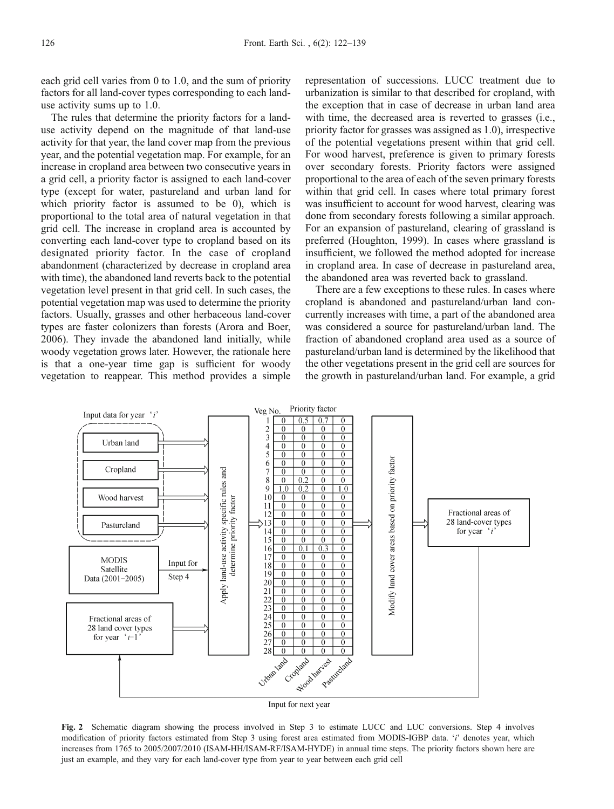each grid cell varies from 0 to 1.0, and the sum of priority factors for all land-cover types corresponding to each landuse activity sums up to 1.0.

The rules that determine the priority factors for a landuse activity depend on the magnitude of that land-use activity for that year, the land cover map from the previous year, and the potential vegetation map. For example, for an increase in cropland area between two consecutive years in a grid cell, a priority factor is assigned to each land-cover type (except for water, pastureland and urban land for which priority factor is assumed to be 0), which is proportional to the total area of natural vegetation in that grid cell. The increase in cropland area is accounted by converting each land-cover type to cropland based on its designated priority factor. In the case of cropland abandonment (characterized by decrease in cropland area with time), the abandoned land reverts back to the potential vegetation level present in that grid cell. In such cases, the potential vegetation map was used to determine the priority factors. Usually, grasses and other herbaceous land-cover types are faster colonizers than forests [\(Arora and Boer,](#page-12-0) [2006\)](#page-12-0). They invade the abandoned land initially, while woody vegetation grows later. However, the rationale here is that a one-year time gap is sufficient for woody vegetation to reappear. This method provides a simple

representation of successions. LUCC treatment due to urbanization is similar to that described for cropland, with the exception that in case of decrease in urban land area with time, the decreased area is reverted to grasses (i.e., priority factor for grasses was assigned as 1.0), irrespective of the potential vegetations present within that grid cell. For wood harvest, preference is given to primary forests over secondary forests. Priority factors were assigned proportional to the area of each of the seven primary forests within that grid cell. In cases where total primary forest was insufficient to account for wood harvest, clearing was done from secondary forests following a similar approach. For an expansion of pastureland, clearing of grassland is preferred [\(Houghton, 1999\)](#page-13-0). In cases where grassland is insufficient, we followed the method adopted for increase in cropland area. In case of decrease in pastureland area, the abandoned area was reverted back to grassland.

There are a few exceptions to these rules. In cases where cropland is abandoned and pastureland/urban land concurrently increases with time, a part of the abandoned area was considered a source for pastureland/urban land. The fraction of abandoned cropland area used as a source of pastureland/urban land is determined by the likelihood that the other vegetations present in the grid cell are sources for the growth in pastureland/urban land. For example, a grid



Input for next year

Fig. 2 Schematic diagram showing the process involved in Step 3 to estimate LUCC and LUC conversions. Step 4 involves modification of priority factors estimated from Step 3 using forest area estimated from MODIS-IGBP data. 'i' denotes year, which increases from 1765 to 2005/2007/2010 (ISAM-HH/ISAM-RF/ISAM-HYDE) in annual time steps. The priority factors shown here are just an example, and they vary for each land-cover type from year to year between each grid cell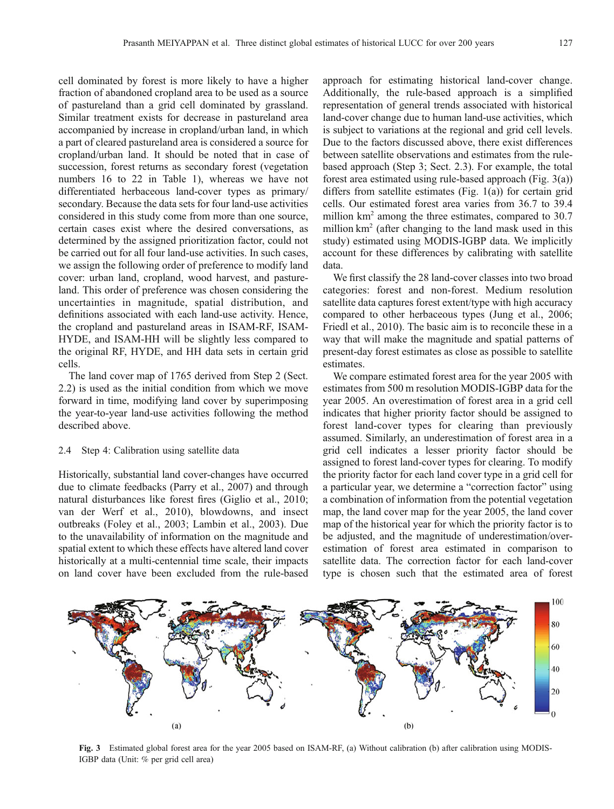cell dominated by forest is more likely to have a higher fraction of abandoned cropland area to be used as a source of pastureland than a grid cell dominated by grassland. Similar treatment exists for decrease in pastureland area accompanied by increase in cropland/urban land, in which a part of cleared pastureland area is considered a source for cropland/urban land. It should be noted that in case of succession, forest returns as secondary forest (vegetation numbers 16 to 22 in Table 1), whereas we have not differentiated herbaceous land-cover types as primary/ secondary. Because the data sets for four land-use activities considered in this study come from more than one source, certain cases exist where the desired conversations, as determined by the assigned prioritization factor, could not be carried out for all four land-use activities. In such cases, we assign the following order of preference to modify land cover: urban land, cropland, wood harvest, and pastureland. This order of preference was chosen considering the uncertainties in magnitude, spatial distribution, and definitions associated with each land-use activity. Hence, the cropland and pastureland areas in ISAM-RF, ISAM-HYDE, and ISAM-HH will be slightly less compared to the original RF, HYDE, and HH data sets in certain grid cells.

The land cover map of 1765 derived from Step 2 (Sect. 2.2) is used as the initial condition from which we move forward in time, modifying land cover by superimposing the year-to-year land-use activities following the method described above.

#### 2.4 Step 4: Calibration using satellite data

Historically, substantial land cover-changes have occurred due to climate feedbacks [\(Parry et al., 2007\)](#page-14-0) and through natural disturbances like forest fires ([Giglio et al., 2010](#page-13-0); [van der Werf et al., 2010](#page-14-0)), blowdowns, and insect outbreaks [\(Foley et al., 2003](#page-13-0); [Lambin et al., 2003\)](#page-13-0). Due to the unavailability of information on the magnitude and spatial extent to which these effects have altered land cover historically at a multi-centennial time scale, their impacts on land cover have been excluded from the rule-based

approach for estimating historical land-cover change. Additionally, the rule-based approach is a simplified representation of general trends associated with historical land-cover change due to human land-use activities, which is subject to variations at the regional and grid cell levels. Due to the factors discussed above, there exist differences between satellite observations and estimates from the rulebased approach (Step 3; Sect. 2.3). For example, the total forest area estimated using rule-based approach (Fig. 3(a)) differs from satellite estimates (Fig. 1(a)) for certain grid cells. Our estimated forest area varies from 36.7 to 39.4 million  $km^2$  among the three estimates, compared to 30.7 million km<sup>2</sup> (after changing to the land mask used in this study) estimated using MODIS-IGBP data. We implicitly account for these differences by calibrating with satellite data.

We first classify the 28 land-cover classes into two broad categories: forest and non-forest. Medium resolution satellite data captures forest extent/type with high accuracy compared to other herbaceous types [\(Jung et al., 2006;](#page-13-0) [Friedl et al., 2010\)](#page-13-0). The basic aim is to reconcile these in a way that will make the magnitude and spatial patterns of present-day forest estimates as close as possible to satellite estimates.

We compare estimated forest area for the year 2005 with estimates from 500 m resolution MODIS-IGBP data for the year 2005. An overestimation of forest area in a grid cell indicates that higher priority factor should be assigned to forest land-cover types for clearing than previously assumed. Similarly, an underestimation of forest area in a grid cell indicates a lesser priority factor should be assigned to forest land-cover types for clearing. To modify the priority factor for each land cover type in a grid cell for a particular year, we determine a "correction factor" using a combination of information from the potential vegetation map, the land cover map for the year 2005, the land cover map of the historical year for which the priority factor is to be adjusted, and the magnitude of underestimation/overestimation of forest area estimated in comparison to satellite data. The correction factor for each land-cover type is chosen such that the estimated area of forest



Fig. 3 Estimated global forest area for the year 2005 based on ISAM-RF, (a) Without calibration (b) after calibration using MODIS-IGBP data (Unit: % per grid cell area)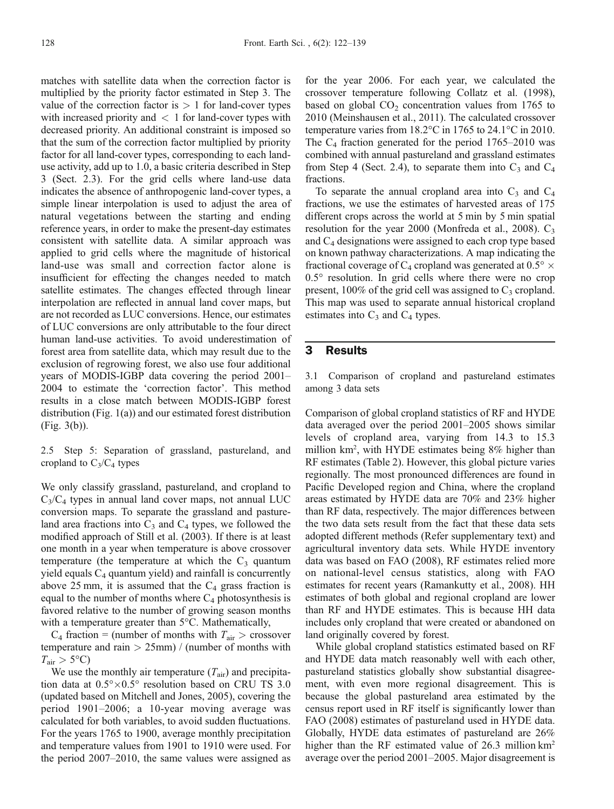matches with satellite data when the correction factor is multiplied by the priority factor estimated in Step 3. The value of the correction factor is  $> 1$  for land-cover types with increased priority and  $\langle 1 \rangle$  for land-cover types with decreased priority. An additional constraint is imposed so that the sum of the correction factor multiplied by priority factor for all land-cover types, corresponding to each landuse activity, add up to 1.0, a basic criteria described in Step 3 (Sect. 2.3). For the grid cells where land-use data indicates the absence of anthropogenic land-cover types, a simple linear interpolation is used to adjust the area of natural vegetations between the starting and ending reference years, in order to make the present-day estimates consistent with satellite data. A similar approach was applied to grid cells where the magnitude of historical land-use was small and correction factor alone is insufficient for effecting the changes needed to match satellite estimates. The changes effected through linear interpolation are reflected in annual land cover maps, but are not recorded as LUC conversions. Hence, our estimates of LUC conversions are only attributable to the four direct human land-use activities. To avoid underestimation of forest area from satellite data, which may result due to the exclusion of regrowing forest, we also use four additional years of MODIS-IGBP data covering the period 2001– 2004 to estimate the 'correction factor'. This method results in a close match between MODIS-IGBP forest distribution (Fig. 1(a)) and our estimated forest distribution (Fig. 3(b)).

2.5 Step 5: Separation of grassland, pastureland, and cropland to  $C_3/C_4$  types

We only classify grassland, pastureland, and cropland to  $C_3/C_4$  types in annual land cover maps, not annual LUC conversion maps. To separate the grassland and pastureland area fractions into  $C_3$  and  $C_4$  types, we followed the modified approach of Still et al. [\(2003](#page-14-0)). If there is at least one month in a year when temperature is above crossover temperature (the temperature at which the  $C_3$  quantum yield equals  $C_4$  quantum yield) and rainfall is concurrently above 25 mm, it is assumed that the  $C_4$  grass fraction is equal to the number of months where  $C_4$  photosynthesis is favored relative to the number of growing season months with a temperature greater than 5°C. Mathematically,

 $C_4$  fraction = (number of months with  $T_{\text{air}} >$  crossover temperature and rain  $> 25$ mm) / (number of months with  $T_{\text{air}} > 5^{\circ}C$ 

We use the monthly air temperature  $(T_{\text{air}})$  and precipitation data at  $0.5^{\circ} \times 0.5^{\circ}$  resolution based on CRU TS 3.0 (updated based on [Mitchell and Jones, 2005](#page-14-0)), covering the period 1901–2006; a 10-year moving average was calculated for both variables, to avoid sudden fluctuations. For the years 1765 to 1900, average monthly precipitation and temperature values from 1901 to 1910 were used. For the period 2007–2010, the same values were assigned as

for the year 2006. For each year, we calculated the crossover temperature following Collatz et al. ([1998\)](#page-13-0), based on global  $CO<sub>2</sub>$  concentration values from 1765 to 2010 [\(Meinshausen et al., 2011\)](#page-14-0). The calculated crossover temperature varies from 18.2°C in 1765 to 24.1°C in 2010. The  $C_4$  fraction generated for the period 1765–2010 was combined with annual pastureland and grassland estimates from Step 4 (Sect. 2.4), to separate them into  $C_3$  and  $C_4$ fractions.

To separate the annual cropland area into  $C_3$  and  $C_4$ fractions, we use the estimates of harvested areas of 175 different crops across the world at 5 min by 5 min spatial resolution for the year 2000 [\(Monfreda et al., 2008\)](#page-14-0).  $C_3$ and C4 designations were assigned to each crop type based on known pathway characterizations. A map indicating the fractional coverage of C<sub>4</sub> cropland was generated at 0.5°  $\times$ 0.5° resolution. In grid cells where there were no crop present,  $100\%$  of the grid cell was assigned to  $C_3$  cropland. This map was used to separate annual historical cropland estimates into  $C_3$  and  $C_4$  types.

# 3 Results

3.1 Comparison of cropland and pastureland estimates among 3 data sets

Comparison of global cropland statistics of RF and HYDE data averaged over the period 2001–2005 shows similar levels of cropland area, varying from 14.3 to 15.3 million km<sup>2</sup>, with HYDE estimates being 8% higher than RF estimates (Table 2). However, this global picture varies regionally. The most pronounced differences are found in Pacific Developed region and China, where the cropland areas estimated by HYDE data are 70% and 23% higher than RF data, respectively. The major differences between the two data sets result from the fact that these data sets adopted different methods (Refer supplementary text) and agricultural inventory data sets. While HYDE inventory data was based on FAO [\(2008](#page-13-0)), RF estimates relied more on national-level census statistics, along with FAO estimates for recent years [\(Ramankutty et al., 2008\)](#page-14-0). HH estimates of both global and regional cropland are lower than RF and HYDE estimates. This is because HH data includes only cropland that were created or abandoned on land originally covered by forest.

While global cropland statistics estimated based on RF and HYDE data match reasonably well with each other, pastureland statistics globally show substantial disagreement, with even more regional disagreement. This is because the global pastureland area estimated by the census report used in RF itself is significantly lower than FAO ([2008\)](#page-13-0) estimates of pastureland used in HYDE data. Globally, HYDE data estimates of pastureland are 26% higher than the RF estimated value of 26.3 million km<sup>2</sup> average over the period 2001–2005. Major disagreement is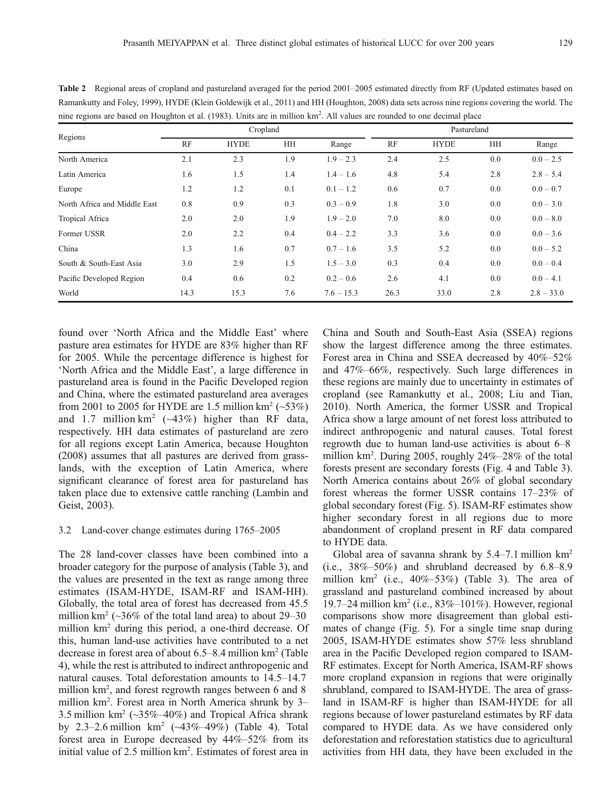| $\tilde{}$                   | $\check{ }$ |             |     |              |             |             |     |              |  |  |
|------------------------------|-------------|-------------|-----|--------------|-------------|-------------|-----|--------------|--|--|
| Regions                      |             | Cropland    |     |              | Pastureland |             |     |              |  |  |
|                              | RF          | <b>HYDE</b> | HH  | Range        | RF          | <b>HYDE</b> | HH  | Range        |  |  |
| North America                | 2.1         | 2.3         | 1.9 | $1.9 - 2.3$  | 2.4         | 2.5         | 0.0 | $0.0 - 2.5$  |  |  |
| Latin America                | 1.6         | 1.5         | 1.4 | $1.4 - 1.6$  | 4.8         | 5.4         | 2.8 | $2.8 - 5.4$  |  |  |
| Europe                       | 1.2         | 1.2         | 0.1 | $0.1 - 1.2$  | 0.6         | 0.7         | 0.0 | $0.0 - 0.7$  |  |  |
| North Africa and Middle East | 0.8         | 0.9         | 0.3 | $0.3 - 0.9$  | 1.8         | 3.0         | 0.0 | $0.0 - 3.0$  |  |  |
| Tropical Africa              | 2.0         | 2.0         | 1.9 | $1.9 - 2.0$  | 7.0         | 8.0         | 0.0 | $0.0 - 8.0$  |  |  |
| Former USSR                  | 2.0         | 2.2         | 0.4 | $0.4 - 2.2$  | 3.3         | 3.6         | 0.0 | $0.0 - 3.6$  |  |  |
| China                        | 1.3         | 1.6         | 0.7 | $0.7 - 1.6$  | 3.5         | 5.2         | 0.0 | $0.0 - 5.2$  |  |  |
| South & South-East Asia      | 3.0         | 2.9         | 1.5 | $1.5 - 3.0$  | 0.3         | 0.4         | 0.0 | $0.0 - 0.4$  |  |  |
| Pacific Developed Region     | 0.4         | 0.6         | 0.2 | $0.2 - 0.6$  | 2.6         | 4.1         | 0.0 | $0.0 - 4.1$  |  |  |
| World                        | 14.3        | 15.3        | 7.6 | $7.6 - 15.3$ | 26.3        | 33.0        | 2.8 | $2.8 - 33.0$ |  |  |

Table 2 Regional areas of cropland and pastureland averaged for the period 2001–2005 estimated directly from RF (Updated estimates based on [Ramankutty and Foley, 1999\)](#page-14-0), HYDE ([Klein Goldewijk et al., 2011](#page-13-0)) and HH [\(Houghton, 2008](#page-13-0)) data sets across nine regions covering the world. The nine regions are based on Houghton et al.  $(1983)$  $(1983)$ . Units are in million km<sup>2</sup>. All values are rounded to one decimal place

found over 'North Africa and the Middle East' where pasture area estimates for HYDE are 83% higher than RF for 2005. While the percentage difference is highest for 'North Africa and the Middle East', a large difference in pastureland area is found in the Pacific Developed region and China, where the estimated pastureland area averages from 2001 to 2005 for HYDE are 1.5 million km<sup>2</sup> ( $\sim$ 53%) and 1.7 million km<sup>2</sup> ( $\sim$ 43%) higher than RF data, respectively. HH data estimates of pastureland are zero for all regions except Latin America, because Houghton [\(2008\)](#page-13-0) assumes that all pastures are derived from grasslands, with the exception of Latin America, where significant clearance of forest area for pastureland has taken place due to extensive cattle ranching [\(Lambin and](#page-13-0) [Geist, 2003](#page-13-0)).

#### 3.2 Land-cover change estimates during 1765–2005

The 28 land-cover classes have been combined into a broader category for the purpose of analysis (Table 3), and the values are presented in the text as range among three estimates (ISAM-HYDE, ISAM-RF and ISAM-HH). Globally, the total area of forest has decreased from 45.5 million km<sup>2</sup> ( $\sim$ 36% of the total land area) to about 29–30 million km2 during this period, a one-third decrease. Of this, human land-use activities have contributed to a net decrease in forest area of about  $6.5-8.4$  million km<sup>2</sup> (Table 4), while the rest is attributed to indirect anthropogenic and natural causes. Total deforestation amounts to 14.5–14.7 million km<sup>2</sup>, and forest regrowth ranges between 6 and 8 million km2 . Forest area in North America shrunk by 3– 3.5 million  $km^2$  (~35%–40%) and Tropical Africa shrank by 2.3–2.6 million  $km^2$  (~43%–49%) (Table 4). Total forest area in Europe decreased by 44%–52% from its initial value of 2.5 million km<sup>2</sup>. Estimates of forest area in

China and South and South-East Asia (SSEA) regions show the largest difference among the three estimates. Forest area in China and SSEA decreased by 40%–52% and 47%–66%, respectively. Such large differences in these regions are mainly due to uncertainty in estimates of cropland (see [Ramankutty et al., 2008](#page-14-0); [Liu and Tian,](#page-14-0) [2010](#page-14-0)). North America, the former USSR and Tropical Africa show a large amount of net forest loss attributed to indirect anthropogenic and natural causes. Total forest regrowth due to human land-use activities is about 6–8 million km<sup>2</sup>. During 2005, roughly 24%-28% of the total forests present are secondary forests (Fig. 4 and Table 3). North America contains about 26% of global secondary forest whereas the former USSR contains 17–23% of global secondary forest (Fig. 5). ISAM-RF estimates show higher secondary forest in all regions due to more abandonment of cropland present in RF data compared to HYDE data.

Global area of savanna shrank by 5.4–7.1 million km<sup>2</sup> (i.e.,  $38\% - 50\%$ ) and shrubland decreased by  $6.8-8.9$ million  $km^2$  (i.e.,  $40\% - 53\%$ ) (Table 3). The area of grassland and pastureland combined increased by about 19.7–24 million km<sup>2</sup> (i.e., 83%–101%). However, regional comparisons show more disagreement than global estimates of change (Fig. 5). For a single time snap during 2005, ISAM-HYDE estimates show 57% less shrubland area in the Pacific Developed region compared to ISAM-RF estimates. Except for North America, ISAM-RF shows more cropland expansion in regions that were originally shrubland, compared to ISAM-HYDE. The area of grassland in ISAM-RF is higher than ISAM-HYDE for all regions because of lower pastureland estimates by RF data compared to HYDE data. As we have considered only deforestation and reforestation statistics due to agricultural activities from HH data, they have been excluded in the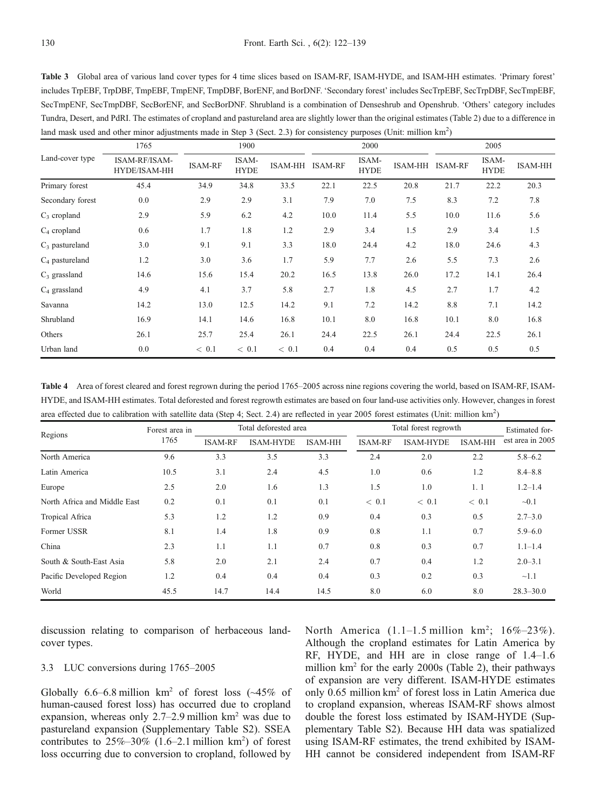Table 3 Global area of various land cover types for 4 time slices based on ISAM-RF, ISAM-HYDE, and ISAM-HH estimates. 'Primary forest' includes TrpEBF, TrpDBF, TmpEBF, TmpENF, TmpDBF, BorENF, and BorDNF. 'Secondary forest' includes SecTrpEBF, SecTrpDBF, SecTmpEBF, SecTmpENF, SecTmpDBF, SecBorENF, and SecBorDNF. Shrubland is a combination of Denseshrub and Openshrub. 'Others' category includes Tundra, Desert, and PdRI. The estimates of cropland and pastureland area are slightly lower than the original estimates (Table 2) due to a difference in land mask used and other minor adjustments made in Step 3 (Sect. 2.3) for consistency purposes (Unit: million  $km^2$ )

|                   | 1765                          | 1900           |                      |         |                | 2000                 |         | 2005           |                      |                |
|-------------------|-------------------------------|----------------|----------------------|---------|----------------|----------------------|---------|----------------|----------------------|----------------|
| Land-cover type   | ISAM-RF/ISAM-<br>HYDE/ISAM-HH | <b>ISAM-RF</b> | ISAM-<br><b>HYDE</b> | ISAM-HH | <b>ISAM-RF</b> | ISAM-<br><b>HYDE</b> | ISAM-HH | <b>ISAM-RF</b> | ISAM-<br><b>HYDE</b> | <b>ISAM-HH</b> |
| Primary forest    | 45.4                          | 34.9           | 34.8                 | 33.5    | 22.1           | 22.5                 | 20.8    | 21.7           | 22.2                 | 20.3           |
| Secondary forest  | 0.0                           | 2.9            | 2.9                  | 3.1     | 7.9            | 7.0                  | 7.5     | 8.3            | 7.2                  | 7.8            |
| $C_3$ cropland    | 2.9                           | 5.9            | 6.2                  | 4.2     | 10.0           | 11.4                 | 5.5     | 10.0           | 11.6                 | 5.6            |
| $C_4$ cropland    | 0.6                           | 1.7            | 1.8                  | 1.2     | 2.9            | 3.4                  | 1.5     | 2.9            | 3.4                  | 1.5            |
| $C_3$ pastureland | 3.0                           | 9.1            | 9.1                  | 3.3     | 18.0           | 24.4                 | 4.2     | 18.0           | 24.6                 | 4.3            |
| $C_4$ pastureland | 1.2                           | 3.0            | 3.6                  | 1.7     | 5.9            | 7.7                  | 2.6     | 5.5            | 7.3                  | 2.6            |
| $C_3$ grassland   | 14.6                          | 15.6           | 15.4                 | 20.2    | 16.5           | 13.8                 | 26.0    | 17.2           | 14.1                 | 26.4           |
| $C_4$ grassland   | 4.9                           | 4.1            | 3.7                  | 5.8     | 2.7            | 1.8                  | 4.5     | 2.7            | 1.7                  | 4.2            |
| Savanna           | 14.2                          | 13.0           | 12.5                 | 14.2    | 9.1            | 7.2                  | 14.2    | 8.8            | 7.1                  | 14.2           |
| Shrubland         | 16.9                          | 14.1           | 14.6                 | 16.8    | 10.1           | 8.0                  | 16.8    | 10.1           | 8.0                  | 16.8           |
| Others            | 26.1                          | 25.7           | 25.4                 | 26.1    | 24.4           | 22.5                 | 26.1    | 24.4           | 22.5                 | 26.1           |
| Urban land        | 0.0                           | < 0.1          | < 0.1                | < 0.1   | 0.4            | 0.4                  | 0.4     | 0.5            | 0.5                  | 0.5            |

Table 4 Area of forest cleared and forest regrown during the period 1765–2005 across nine regions covering the world, based on ISAM-RF, ISAM-HYDE, and ISAM-HH estimates. Total deforested and forest regrowth estimates are based on four land-use activities only. However, changes in forest area effected due to calibration with satellite data (Step 4; Sect. 2.4) are reflected in year 2005 forest estimates (Unit: million km<sup>2</sup>)

|                              | Forest area in |                | Total deforested area |                | Total forest regrowth | Estimated for-   |                |                  |  |
|------------------------------|----------------|----------------|-----------------------|----------------|-----------------------|------------------|----------------|------------------|--|
| Regions                      | 1765           | <b>ISAM-RF</b> | <b>ISAM-HYDE</b>      | <b>ISAM-HH</b> | <b>ISAM-RF</b>        | <b>ISAM-HYDE</b> | <b>ISAM-HH</b> | est area in 2005 |  |
| North America                | 9.6            | 3.3            | 3.5                   | 3.3            | 2.4                   | 2.0              | 2.2            | $5.8 - 6.2$      |  |
| Latin America                | 10.5           | 3.1            | 2.4                   | 4.5            | 1.0                   | 0.6              | 1.2            | $8.4 - 8.8$      |  |
| Europe                       | 2.5            | 2.0            | 1.6                   | 1.3            | 1.5                   | 1.0              | 1.1            | $1.2 - 1.4$      |  |
| North Africa and Middle East | 0.2            | 0.1            | 0.1                   | 0.1            | < 0.1                 | < 0.1            | < 0.1          | $\sim 0.1$       |  |
| Tropical Africa              | 5.3            | 1.2            | 1.2                   | 0.9            | 0.4                   | 0.3              | 0.5            | $2.7 - 3.0$      |  |
| Former USSR                  | 8.1            | 1.4            | 1.8                   | 0.9            | 0.8                   | 1.1              | 0.7            | $5.9 - 6.0$      |  |
| China                        | 2.3            | 1.1            | 1.1                   | 0.7            | 0.8                   | 0.3              | 0.7            | $1.1 - 1.4$      |  |
| South & South-East Asia      | 5.8            | 2.0            | 2.1                   | 2.4            | 0.7                   | 0.4              | 1.2            | $2.0 - 3.1$      |  |
| Pacific Developed Region     | 1.2            | 0.4            | 0.4                   | 0.4            | 0.3                   | 0.2              | 0.3            | $\sim1.1$        |  |
| World                        | 45.5           | 14.7           | 14.4                  | 14.5           | 8.0                   | 6.0              | 8.0            | $28.3 - 30.0$    |  |

discussion relating to comparison of herbaceous landcover types.

#### 3.3 LUC conversions during 1765–2005

Globally 6.6–6.8 million  $km^2$  of forest loss (~45% of human-caused forest loss) has occurred due to cropland expansion, whereas only  $2.7-2.9$  million km<sup>2</sup> was due to pastureland expansion (Supplementary Table S2). SSEA contributes to  $25\% - 30\%$  (1.6–2.1 million km<sup>2</sup>) of forest loss occurring due to conversion to cropland, followed by

North America  $(1.1-1.5 \text{ million km}^2; 16\% - 23\%)$ . Although the cropland estimates for Latin America by RF, HYDE, and HH are in close range of 1.4–1.6 million km2 for the early 2000s (Table 2), their pathways of expansion are very different. ISAM-HYDE estimates only 0.65 million km2 of forest loss in Latin America due to cropland expansion, whereas ISAM-RF shows almost double the forest loss estimated by ISAM-HYDE (Supplementary Table S2). Because HH data was spatialized using ISAM-RF estimates, the trend exhibited by ISAM-HH cannot be considered independent from ISAM-RF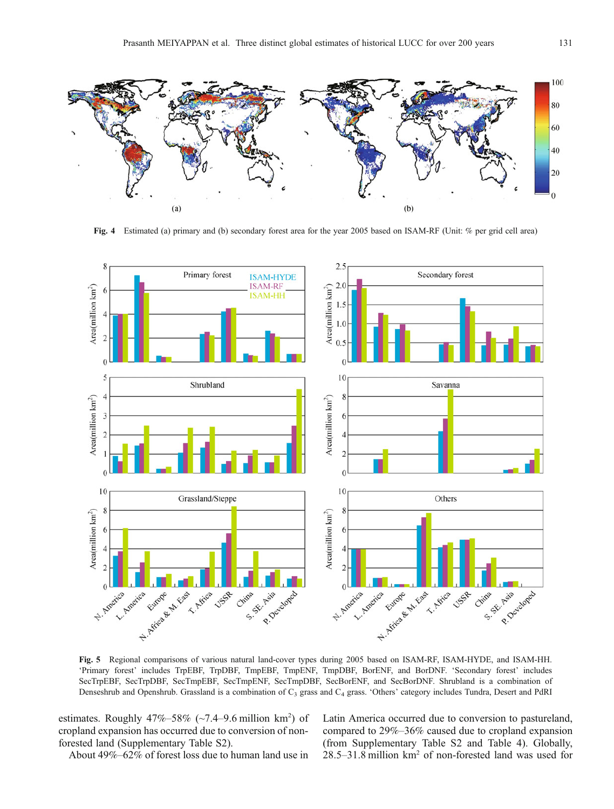

Fig. 4 Estimated (a) primary and (b) secondary forest area for the year 2005 based on ISAM-RF (Unit: % per grid cell area)



Fig. 5 Regional comparisons of various natural land-cover types during 2005 based on ISAM-RF, ISAM-HYDE, and ISAM-HH. 'Primary forest' includes TrpEBF, TrpDBF, TmpEBF, TmpENF, TmpDBF, BorENF, and BorDNF. 'Secondary forest' includes SecTrpEBF, SecTrpDBF, SecTmpEBF, SecTmpENF, SecTmpDBF, SecBorENF, and SecBorDNF. Shrubland is a combination of Denseshrub and Openshrub. Grassland is a combination of C<sub>3</sub> grass and C<sub>4</sub> grass. 'Others' category includes Tundra, Desert and PdRI

estimates. Roughly  $47\% - 58\%$  ( $\sim 7.4 - 9.6$  million km<sup>2</sup>) of cropland expansion has occurred due to conversion of nonforested land (Supplementary Table S2).

About 49%–62% of forest loss due to human land use in

Latin America occurred due to conversion to pastureland, compared to 29%–36% caused due to cropland expansion (from Supplementary Table S2 and Table 4). Globally, 28.5–31.8 million km2 of non-forested land was used for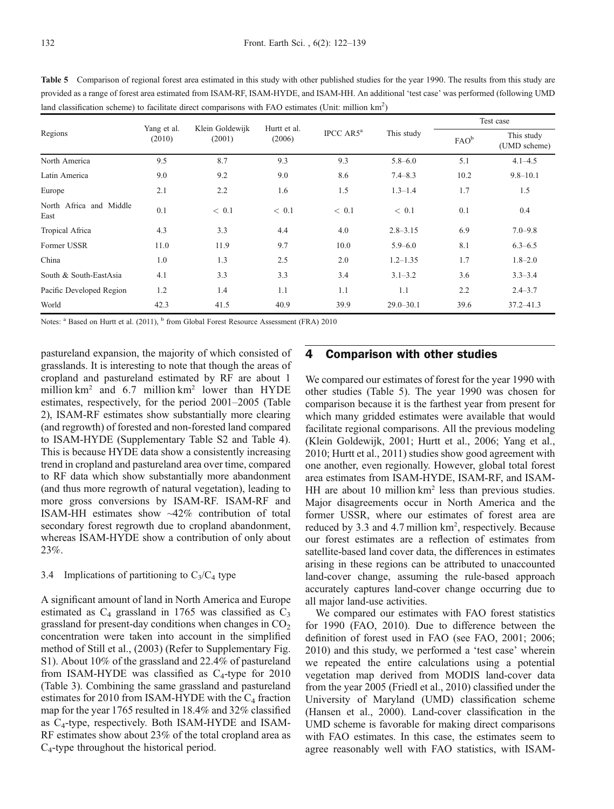Table 5 Comparison of regional forest area estimated in this study with other published studies for the year 1990. The results from this study are provided as a range of forest area estimated from ISAM-RF, ISAM-HYDE, and ISAM-HH. An additional 'test case' was performed (following UMD land classification scheme) to facilitate direct comparisons with FAO estimates (Unit: million  $km^2$ )

|                                 | Yang et al. | Klein Goldewijk | Hurtt et al. |              |               |                  | Test case                  |  |
|---------------------------------|-------------|-----------------|--------------|--------------|---------------|------------------|----------------------------|--|
| Regions                         | (2010)      | (2001)          | (2006)       | IPCC $AR5^a$ | This study    | FAO <sup>b</sup> | This study<br>(UMD scheme) |  |
| North America                   | 9.5         | 8.7             | 9.3          | 9.3          | $5.8 - 6.0$   | 5.1              | $4.1 - 4.5$                |  |
| Latin America                   | 9.0         | 9.2             | 9.0          | 8.6          | $7.4 - 8.3$   | 10.2             | $9.8 - 10.1$               |  |
| Europe                          | 2.1         | 2.2             | 1.6          | 1.5          | $1.3 - 1.4$   | 1.7              | 1.5                        |  |
| North Africa and Middle<br>East | 0.1         | < 0.1           | < 0.1        | < 0.1        | < 0.1         | 0.1              | 0.4                        |  |
| Tropical Africa                 | 4.3         | 3.3             | 4.4          | 4.0          | $2.8 - 3.15$  | 6.9              | $7.0 - 9.8$                |  |
| Former USSR                     | 11.0        | 11.9            | 9.7          | 10.0         | $5.9 - 6.0$   | 8.1              | $6.3 - 6.5$                |  |
| China                           | 1.0         | 1.3             | 2.5          | 2.0          | $1.2 - 1.35$  | 1.7              | $1.8 - 2.0$                |  |
| South & South-EastAsia          | 4.1         | 3.3             | 3.3          | 3.4          | $3.1 - 3.2$   | 3.6              | $3.3 - 3.4$                |  |
| Pacific Developed Region        | 1.2         | 1.4             | 1.1          | 1.1          | 1.1           | 2.2              | $2.4 - 3.7$                |  |
| World                           | 42.3        | 41.5            | 40.9         | 39.9         | $29.0 - 30.1$ | 39.6             | $37.2 - 41.3$              |  |

Notes: <sup>a</sup> Based on Hurtt et al. ([2011\)](#page-13-0), <sup>b</sup> from Global Forest Resource Assessment (FRA) 2010

pastureland expansion, the majority of which consisted of grasslands. It is interesting to note that though the areas of cropland and pastureland estimated by RF are about 1 million  $km^2$  and 6.7 million  $km^2$  lower than HYDE estimates, respectively, for the period 2001–2005 (Table 2), ISAM-RF estimates show substantially more clearing (and regrowth) of forested and non-forested land compared to ISAM-HYDE (Supplementary Table S2 and Table 4). This is because HYDE data show a consistently increasing trend in cropland and pastureland area over time, compared to RF data which show substantially more abandonment (and thus more regrowth of natural vegetation), leading to more gross conversions by ISAM-RF. ISAM-RF and ISAM-HH estimates show ~42% contribution of total secondary forest regrowth due to cropland abandonment, whereas ISAM-HYDE show a contribution of only about 23%.

#### 3.4 Implications of partitioning to  $C_3/C_4$  type

A significant amount of land in North America and Europe estimated as  $C_4$  grassland in 1765 was classified as  $C_3$ grassland for present-day conditions when changes in  $CO<sub>2</sub>$ concentration were taken into account in the simplified method of Still et al., ([2003](#page-14-0)) (Refer to Supplementary Fig. S1). About 10% of the grassland and 22.4% of pastureland from ISAM-HYDE was classified as  $C_4$ -type for 2010 (Table 3). Combining the same grassland and pastureland estimates for 2010 from ISAM-HYDE with the  $C_4$  fraction map for the year 1765 resulted in 18.4% and 32% classified as C4-type, respectively. Both ISAM-HYDE and ISAM-RF estimates show about 23% of the total cropland area as C4-type throughout the historical period.

# 4 Comparison with other studies

We compared our estimates of forest for the year 1990 with other studies (Table 5). The year 1990 was chosen for comparison because it is the farthest year from present for which many gridded estimates were available that would facilitate regional comparisons. All the previous modeling ([Klein Goldewijk, 2001](#page-13-0); [Hurtt et al., 2006](#page-13-0); [Yang et al.,](#page-14-0) [2010](#page-14-0); [Hurtt et al., 2011](#page-13-0)) studies show good agreement with one another, even regionally. However, global total forest area estimates from ISAM-HYDE, ISAM-RF, and ISAM-HH are about 10 million  $km^2$  less than previous studies. Major disagreements occur in North America and the former USSR, where our estimates of forest area are reduced by 3.3 and 4.7 million km<sup>2</sup>, respectively. Because our forest estimates are a reflection of estimates from satellite-based land cover data, the differences in estimates arising in these regions can be attributed to unaccounted land-cover change, assuming the rule-based approach accurately captures land-cover change occurring due to all major land-use activities.

We compared our estimates with FAO forest statistics for 1990 [\(FAO, 2010\)](#page-13-0). Due to difference between the definition of forest used in FAO (see [FAO, 2001; 2006;](#page-13-0) [2010](#page-13-0)) and this study, we performed a 'test case' wherein we repeated the entire calculations using a potential vegetation map derived from MODIS land-cover data from the year 2005 ([Friedl et al., 2010](#page-13-0)) classified under the University of Maryland (UMD) classification scheme ([Hansen et al., 2000](#page-13-0)). Land-cover classification in the UMD scheme is favorable for making direct comparisons with FAO estimates. In this case, the estimates seem to agree reasonably well with FAO statistics, with ISAM-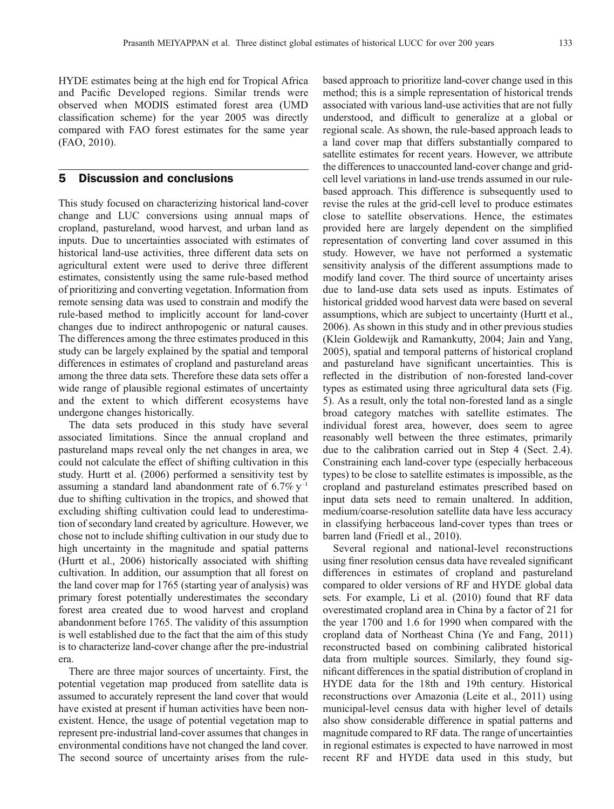HYDE estimates being at the high end for Tropical Africa and Pacific Developed regions. Similar trends were observed when MODIS estimated forest area (UMD classification scheme) for the year 2005 was directly compared with FAO forest estimates for the same year [\(FAO, 2010\)](#page-13-0).

## 5 Discussion and conclusions

This study focused on characterizing historical land-cover change and LUC conversions using annual maps of cropland, pastureland, wood harvest, and urban land as inputs. Due to uncertainties associated with estimates of historical land-use activities, three different data sets on agricultural extent were used to derive three different estimates, consistently using the same rule-based method of prioritizing and converting vegetation. Information from remote sensing data was used to constrain and modify the rule-based method to implicitly account for land-cover changes due to indirect anthropogenic or natural causes. The differences among the three estimates produced in this study can be largely explained by the spatial and temporal differences in estimates of cropland and pastureland areas among the three data sets. Therefore these data sets offer a wide range of plausible regional estimates of uncertainty and the extent to which different ecosystems have undergone changes historically.

The data sets produced in this study have several associated limitations. Since the annual cropland and pastureland maps reveal only the net changes in area, we could not calculate the effect of shifting cultivation in this study. Hurtt et al. ([2006\)](#page-13-0) performed a sensitivity test by assuming a standard land abandonment rate of  $6.7\%$  y<sup>-1</sup> due to shifting cultivation in the tropics, and showed that excluding shifting cultivation could lead to underestimation of secondary land created by agriculture. However, we chose not to include shifting cultivation in our study due to high uncertainty in the magnitude and spatial patterns [\(Hurtt et al., 2006](#page-13-0)) historically associated with shifting cultivation. In addition, our assumption that all forest on the land cover map for 1765 (starting year of analysis) was primary forest potentially underestimates the secondary forest area created due to wood harvest and cropland abandonment before 1765. The validity of this assumption is well established due to the fact that the aim of this study is to characterize land-cover change after the pre-industrial era.

There are three major sources of uncertainty. First, the potential vegetation map produced from satellite data is assumed to accurately represent the land cover that would have existed at present if human activities have been nonexistent. Hence, the usage of potential vegetation map to represent pre-industrial land-cover assumes that changes in environmental conditions have not changed the land cover. The second source of uncertainty arises from the rule-

based approach to prioritize land-cover change used in this method; this is a simple representation of historical trends associated with various land-use activities that are not fully understood, and difficult to generalize at a global or regional scale. As shown, the rule-based approach leads to a land cover map that differs substantially compared to satellite estimates for recent years. However, we attribute the differences to unaccounted land-cover change and gridcell level variations in land-use trends assumed in our rulebased approach. This difference is subsequently used to revise the rules at the grid-cell level to produce estimates close to satellite observations. Hence, the estimates provided here are largely dependent on the simplified representation of converting land cover assumed in this study. However, we have not performed a systematic sensitivity analysis of the different assumptions made to modify land cover. The third source of uncertainty arises due to land-use data sets used as inputs. Estimates of historical gridded wood harvest data were based on several assumptions, which are subject to uncertainty [\(Hurtt et al.,](#page-13-0) [2006](#page-13-0)). As shown in this study and in other previous studies ([Klein Goldewijk and Ramankutty, 2004](#page-13-0); [Jain and Yang,](#page-13-0) [2005](#page-13-0)), spatial and temporal patterns of historical cropland and pastureland have significant uncertainties. This is reflected in the distribution of non-forested land-cover types as estimated using three agricultural data sets (Fig. 5). As a result, only the total non-forested land as a single broad category matches with satellite estimates. The individual forest area, however, does seem to agree reasonably well between the three estimates, primarily due to the calibration carried out in Step 4 (Sect. 2.4). Constraining each land-cover type (especially herbaceous types) to be close to satellite estimates is impossible, as the cropland and pastureland estimates prescribed based on input data sets need to remain unaltered. In addition, medium/coarse-resolution satellite data have less accuracy in classifying herbaceous land-cover types than trees or barren land [\(Friedl et al., 2010](#page-13-0)).

Several regional and national-level reconstructions using finer resolution census data have revealed significant differences in estimates of cropland and pastureland compared to older versions of RF and HYDE global data sets. For example, Li et al. [\(2010](#page-14-0)) found that RF data overestimated cropland area in China by a factor of 21 for the year 1700 and 1.6 for 1990 when compared with the cropland data of Northeast China ([Ye and Fang, 2011](#page-14-0)) reconstructed based on combining calibrated historical data from multiple sources. Similarly, they found significant differences in the spatial distribution of cropland in HYDE data for the 18th and 19th century. Historical reconstructions over Amazonia [\(Leite et al., 2011\)](#page-14-0) using municipal-level census data with higher level of details also show considerable difference in spatial patterns and magnitude compared to RF data. The range of uncertainties in regional estimates is expected to have narrowed in most recent RF and HYDE data used in this study, but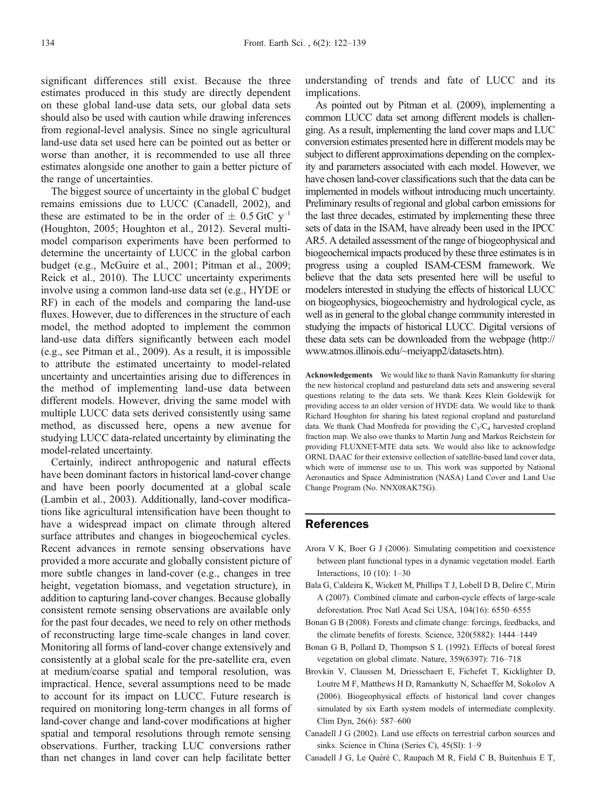<span id="page-12-0"></span>significant differences still exist. Because the three estimates produced in this study are directly dependent on these global land-use data sets, our global data sets should also be used with caution while drawing inferences from regional-level analysis. Since no single agricultural land-use data set used here can be pointed out as better or worse than another, it is recommended to use all three estimates alongside one another to gain a better picture of the range of uncertainties.

The biggest source of uncertainty in the global C budget remains emissions due to LUCC (Canadell, 2002), and these are estimated to be in the order of  $\pm$  0.5 GtC y<sup>-1</sup> [\(Houghton, 2005](#page-13-0); [Houghton et al., 2012](#page-13-0)). Several multimodel comparison experiments have been performed to determine the uncertainty of LUCC in the global carbon budget (e.g., [McGuire et al., 2001; Pitman et al., 2009](#page-14-0); [Reick et al., 2010\)](#page-14-0). The LUCC uncertainty experiments involve using a common land-use data set (e.g., HYDE or RF) in each of the models and comparing the land-use fluxes. However, due to differences in the structure of each model, the method adopted to implement the common land-use data differs significantly between each model (e.g., see [Pitman et al., 2009](#page-14-0)). As a result, it is impossible to attribute the estimated uncertainty to model-related uncertainty and uncertainties arising due to differences in the method of implementing land-use data between different models. However, driving the same model with multiple LUCC data sets derived consistently using same method, as discussed here, opens a new avenue for studying LUCC data-related uncertainty by eliminating the model-related uncertainty.

Certainly, indirect anthropogenic and natural effects have been dominant factors in historical land-cover change and have been poorly documented at a global scale [\(Lambin et al., 2003](#page-13-0)). Additionally, land-cover modifications like agricultural intensification have been thought to have a widespread impact on climate through altered surface attributes and changes in biogeochemical cycles. Recent advances in remote sensing observations have provided a more accurate and globally consistent picture of more subtle changes in land-cover (e.g., changes in tree height, vegetation biomass, and vegetation structure), in addition to capturing land-cover changes. Because globally consistent remote sensing observations are available only for the past four decades, we need to rely on other methods of reconstructing large time-scale changes in land cover. Monitoring all forms of land-cover change extensively and consistently at a global scale for the pre-satellite era, even at medium/coarse spatial and temporal resolution, was impractical. Hence, several assumptions need to be made to account for its impact on LUCC. Future research is required on monitoring long-term changes in all forms of land-cover change and land-cover modifications at higher spatial and temporal resolutions through remote sensing observations. Further, tracking LUC conversions rather than net changes in land cover can help facilitate better

understanding of trends and fate of LUCC and its implications.

As pointed out by Pitman et al. [\(2009\)](#page-14-0), implementing a common LUCC data set among different models is challenging. As a result, implementing the land cover maps and LUC conversion estimates presented here in different models may be subject to different approximations depending on the complexity and parameters associated with each model. However, we have chosen land-cover classifications such that the data can be implemented in models without introducing much uncertainty. Preliminary results of regional and global carbon emissions for the last three decades, estimated by implementing these three sets of data in the ISAM, have already been used in the IPCC AR5. A detailed assessment of the range of biogeophysical and biogeochemical impacts produced by these three estimates is in progress using a coupled ISAM-CESM framework. We believe that the data sets presented here will be useful to modelers interested in studying the effects of historical LUCC on biogeophysics, biogeochemistry and hydrological cycle, as well as in general to the global change community interested in studying the impacts of historical LUCC. Digital versions of these data sets can be downloaded from the webpage (http:// www.atmos.illinois.edu/~meiyapp2/datasets.htm).

Acknowledgements We would like to thank Navin Ramankutty for sharing the new historical cropland and pastureland data sets and answering several questions relating to the data sets. We thank Kees Klein Goldewijk for providing access to an older version of HYDE data. We would like to thank Richard Houghton for sharing his latest regional cropland and pastureland data. We thank Chad Monfreda for providing the  $C_3/C_4$  harvested cropland fraction map. We also owe thanks to Martin Jung and Markus Reichstein for providing FLUXNET-MTE data sets. We would also like to acknowledge ORNL DAAC for their extensive collection of satellite-based land cover data, which were of immense use to us. This work was supported by National Aeronautics and Space Administration (NASA) Land Cover and Land Use Change Program (No. NNX08AK75G).

### References

- Arora V K, Boer G J (2006). Simulating competition and coexistence between plant functional types in a dynamic vegetation model. Earth Interactions, 10 (10): 1–30
- Bala G, Caldeira K, Wickett M, Phillips T J, Lobell D B, Delire C, Mirin A (2007). Combined climate and carbon-cycle effects of large-scale deforestation. Proc Natl Acad Sci USA, 104(16): 6550–6555
- Bonan G B (2008). Forests and climate change: forcings, feedbacks, and the climate benefits of forests. Science, 320(5882): 1444–1449
- Bonan G B, Pollard D, Thompson S L (1992). Effects of boreal forest vegetation on global climate. Nature, 359(6397): 716–718
- Brovkin V, Claussen M, Driesschaert E, Fichefet T, Kicklighter D, Loutre M F, Matthews H D, Ramankutty N, Schaeffer M, Sokolov A (2006). Biogeophysical effects of historical land cover changes simulated by six Earth system models of intermediate complexity. Clim Dyn, 26(6): 587–600
- Canadell J G (2002). Land use effects on terrestrial carbon sources and sinks. Science in China (Series C), 45(Sl): 1–9
- Canadell J G, Le Quéré C, Raupach M R, Field C B, Buitenhuis E T,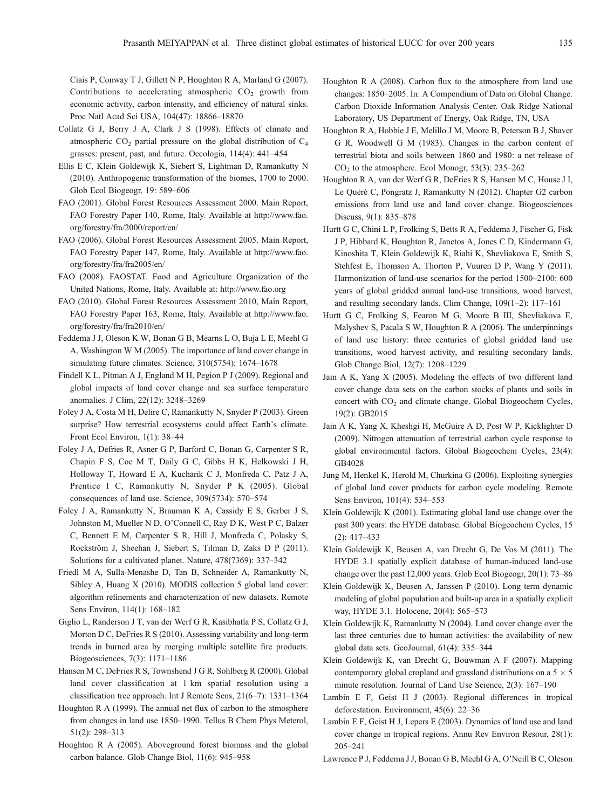<span id="page-13-0"></span>Ciais P, Conway T J, Gillett N P, Houghton R A, Marland G (2007). Contributions to accelerating atmospheric  $CO<sub>2</sub>$  growth from economic activity, carbon intensity, and efficiency of natural sinks. Proc Natl Acad Sci USA, 104(47): 18866–18870

- Collatz G J, Berry J A, Clark J S (1998). Effects of climate and atmospheric  $CO<sub>2</sub>$  partial pressure on the global distribution of  $C<sub>4</sub>$ grasses: present, past, and future. Oecologia, 114(4): 441–454
- Ellis E C, Klein Goldewijk K, Siebert S, Lightman D, Ramankutty N (2010). Anthropogenic transformation of the biomes, 1700 to 2000. Glob Ecol Biogeogr, 19: 589–606
- FAO (2001). Global Forest Resources Assessment 2000. Main Report, FAO Forestry Paper 140, Rome, Italy. Available at http://www.fao. org/forestry/fra/2000/report/en/
- FAO (2006). Global Forest Resources Assessment 2005. Main Report, FAO Forestry Paper 147, Rome, Italy. Available at http://www.fao. org/forestry/fra/fra2005/en/
- FAO (2008). FAOSTAT. Food and Agriculture Organization of the United Nations, Rome, Italy. Available at: http://www.fao.org
- FAO (2010). Global Forest Resources Assessment 2010, Main Report, FAO Forestry Paper 163, Rome, Italy. Available at http://www.fao. org/forestry/fra/fra2010/en/
- Feddema J J, Oleson K W, Bonan G B, Mearns L O, Buja L E, Meehl G A, Washington W M (2005). The importance of land cover change in simulating future climates. Science, 310(5754): 1674–1678
- Findell K L, Pitman A J, England M H, Pegion P J (2009). Regional and global impacts of land cover change and sea surface temperature anomalies. J Clim, 22(12): 3248–3269
- Foley J A, Costa M H, Delire C, Ramankutty N, Snyder P (2003). Green surprise? How terrestrial ecosystems could affect Earth's climate. Front Ecol Environ, 1(1): 38–44
- Foley J A, Defries R, Asner G P, Barford C, Bonan G, Carpenter S R, Chapin F S, Coe M T, Daily G C, Gibbs H K, Helkowski J H, Holloway T, Howard E A, Kucharik C J, Monfreda C, Patz J A, Prentice I C, Ramankutty N, Snyder P K (2005). Global consequences of land use. Science, 309(5734): 570–574
- Foley J A, Ramankutty N, Brauman K A, Cassidy E S, Gerber J S, Johnston M, Mueller N D, O'Connell C, Ray D K, West P C, Balzer C, Bennett E M, Carpenter S R, Hill J, Monfreda C, Polasky S, Rockström J, Sheehan J, Siebert S, Tilman D, Zaks D P (2011). Solutions for a cultivated planet. Nature, 478(7369): 337–342
- Friedl M A, Sulla-Menashe D, Tan B, Schneider A, Ramankutty N, Sibley A, Huang X (2010). MODIS collection 5 global land cover: algorithm refinements and characterization of new datasets. Remote Sens Environ, 114(1): 168–182
- Giglio L, Randerson J T, van der Werf G R, Kasibhatla P S, Collatz G J, Morton D C, DeFries R S (2010). Assessing variability and long-term trends in burned area by merging multiple satellite fire products. Biogeosciences, 7(3): 1171–1186
- Hansen M C, DeFries R S, Townshend J G R, Sohlberg R (2000). Global land cover classification at 1 km spatial resolution using a classification tree approach. Int J Remote Sens, 21(6–7): 1331–1364
- Houghton R A (1999). The annual net flux of carbon to the atmosphere from changes in land use 1850–1990. Tellus B Chem Phys Meterol, 51(2): 298–313
- Houghton R A (2005). Aboveground forest biomass and the global carbon balance. Glob Change Biol, 11(6): 945–958
- Houghton R A (2008). Carbon flux to the atmosphere from land use changes: 1850–2005. In: A Compendium of Data on Global Change. Carbon Dioxide Information Analysis Center. Oak Ridge National Laboratory, US Department of Energy, Oak Ridge, TN, USA
- Houghton R A, Hobbie J E, Melillo J M, Moore B, Peterson B J, Shaver G R, Woodwell G M (1983). Changes in the carbon content of terrestrial biota and soils between 1860 and 1980: a net release of  $CO<sub>2</sub>$  to the atmosphere. Ecol Monogr, 53(3): 235–262
- Houghton R A, van der Werf G R, DeFries R S, Hansen M C, House J I, Le Quéré C, Pongratz J, Ramankutty N (2012). Chapter G2 carbon emissions from land use and land cover change. Biogeosciences Discuss, 9(1): 835–878
- Hurtt G C, Chini L P, Frolking S, Betts R A, Feddema J, Fischer G, Fisk J P, Hibbard K, Houghton R, Janetos A, Jones C D, Kindermann G, Kinoshita T, Klein Goldewijk K, Riahi K, Shevliakova E, Smith S, Stehfest E, Thomson A, Thorton P, Vuuren D P, Wang Y (2011). Harmonization of land-use scenarios for the period 1500–2100: 600 years of global gridded annual land-use transitions, wood harvest, and resulting secondary lands. Clim Change, 109(1–2): 117–161
- Hurtt G C, Frolking S, Fearon M G, Moore B III, Shevliakova E, Malyshev S, Pacala S W, Houghton R A (2006). The underpinnings of land use history: three centuries of global gridded land use transitions, wood harvest activity, and resulting secondary lands. Glob Change Biol, 12(7): 1208–1229
- Jain A K, Yang X (2005). Modeling the effects of two different land cover change data sets on the carbon stocks of plants and soils in concert with CO<sub>2</sub> and climate change. Global Biogeochem Cycles, 19(2): GB2015
- Jain A K, Yang X, Kheshgi H, McGuire A D, Post W P, Kicklighter D (2009). Nitrogen attenuation of terrestrial carbon cycle response to global environmental factors. Global Biogeochem Cycles, 23(4): GB4028
- Jung M, Henkel K, Herold M, Churkina G (2006). Exploiting synergies of global land cover products for carbon cycle modeling. Remote Sens Environ, 101(4): 534–553
- Klein Goldewijk K (2001). Estimating global land use change over the past 300 years: the HYDE database. Global Biogeochem Cycles, 15 (2): 417–433
- Klein Goldewijk K, Beusen A, van Drecht G, De Vos M (2011). The HYDE 3.1 spatially explicit database of human-induced land-use change over the past 12,000 years. Glob Ecol Biogeogr, 20(1): 73–86
- Klein Goldewijk K, Beusen A, Janssen P (2010). Long term dynamic modeling of global population and built-up area in a spatially explicit way, HYDE 3.1. Holocene, 20(4): 565–573
- Klein Goldewijk K, Ramankutty N (2004). Land cover change over the last three centuries due to human activities: the availability of new global data sets. GeoJournal, 61(4): 335–344
- Klein Goldewijk K, van Drecht G, Bouwman A F (2007). Mapping contemporary global cropland and grassland distributions on a  $5 \times 5$ minute resolution. Journal of Land Use Science, 2(3): 167–190
- Lambin E F, Geist H J (2003). Regional differences in tropical deforestation. Environment, 45(6): 22–36
- Lambin E F, Geist H J, Lepers E (2003). Dynamics of land use and land cover change in tropical regions. Annu Rev Environ Resour, 28(1): 205–241
- Lawrence P J, Feddema J J, Bonan G B, Meehl G A, O'Neill B C, Oleson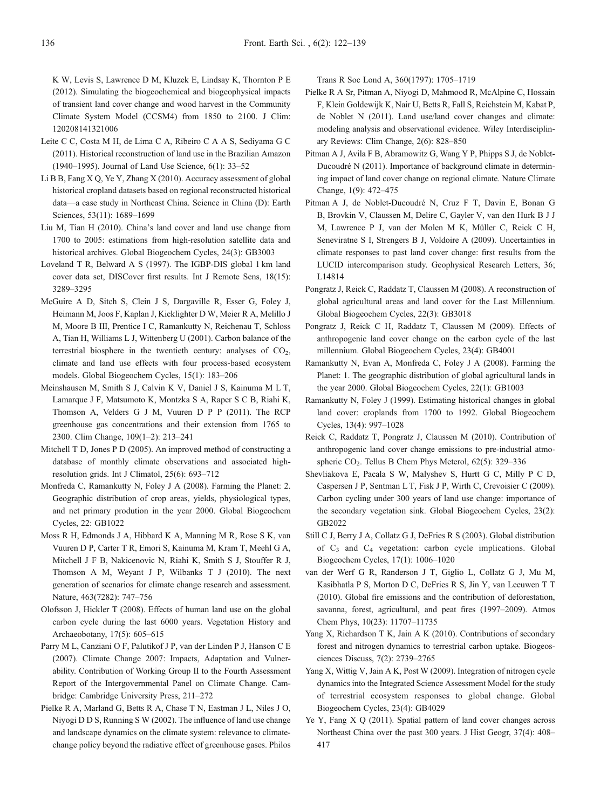<span id="page-14-0"></span>K W, Levis S, Lawrence D M, Kluzek E, Lindsay K, Thornton P E (2012). Simulating the biogeochemical and biogeophysical impacts of transient land cover change and wood harvest in the Community Climate System Model (CCSM4) from 1850 to 2100. J Clim: 120208141321006

- Leite C C, Costa M H, de Lima C A, Ribeiro C A A S, Sediyama G C (2011). Historical reconstruction of land use in the Brazilian Amazon (1940–1995). Journal of Land Use Science, 6(1): 33–52
- Li B B, Fang X Q, Ye Y, Zhang X (2010). Accuracy assessment of global historical cropland datasets based on regional reconstructed historical data—a case study in Northeast China. Science in China (D): Earth Sciences, 53(11): 1689–1699
- Liu M, Tian H (2010). China's land cover and land use change from 1700 to 2005: estimations from high-resolution satellite data and historical archives. Global Biogeochem Cycles, 24(3): GB3003
- Loveland T R, Belward A S (1997). The IGBP-DIS global 1 km land cover data set, DISCover first results. Int J Remote Sens, 18(15): 3289–3295
- McGuire A D, Sitch S, Clein J S, Dargaville R, Esser G, Foley J, Heimann M, Joos F, Kaplan J, Kicklighter D W, Meier R A, Melillo J M, Moore B III, Prentice I C, Ramankutty N, Reichenau T, Schloss A, Tian H, Williams L J, Wittenberg U (2001). Carbon balance of the terrestrial biosphere in the twentieth century: analyses of  $CO<sub>2</sub>$ , climate and land use effects with four process-based ecosystem models. Global Biogeochem Cycles, 15(1): 183–206
- Meinshausen M, Smith S J, Calvin K V, Daniel J S, Kainuma M L T, Lamarque J F, Matsumoto K, Montzka S A, Raper S C B, Riahi K, Thomson A, Velders G J M, Vuuren D P P (2011). The RCP greenhouse gas concentrations and their extension from 1765 to 2300. Clim Change, 109(1–2): 213–241
- Mitchell T D, Jones P D (2005). An improved method of constructing a database of monthly climate observations and associated highresolution grids. Int J Climatol, 25(6): 693–712
- Monfreda C, Ramankutty N, Foley J A (2008). Farming the Planet: 2. Geographic distribution of crop areas, yields, physiological types, and net primary prodution in the year 2000. Global Biogeochem Cycles, 22: GB1022
- Moss R H, Edmonds J A, Hibbard K A, Manning M R, Rose S K, van Vuuren D P, Carter T R, Emori S, Kainuma M, Kram T, Meehl G A, Mitchell J F B, Nakicenovic N, Riahi K, Smith S J, Stouffer R J, Thomson A M, Weyant J P, Wilbanks T J (2010). The next generation of scenarios for climate change research and assessment. Nature, 463(7282): 747–756
- Olofsson J, Hickler T (2008). Effects of human land use on the global carbon cycle during the last 6000 years. Vegetation History and Archaeobotany, 17(5): 605–615
- Parry M L, Canziani O F, Palutikof J P, van der Linden P J, Hanson C E (2007). Climate Change 2007: Impacts, Adaptation and Vulnerability. Contribution of Working Group II to the Fourth Assessment Report of the Intergovernmental Panel on Climate Change. Cambridge: Cambridge University Press, 211–272
- Pielke R A, Marland G, Betts R A, Chase T N, Eastman J L, Niles J O, Niyogi D D S, Running S W (2002). The influence of land use change and landscape dynamics on the climate system: relevance to climatechange policy beyond the radiative effect of greenhouse gases. Philos

Trans R Soc Lond A, 360(1797): 1705–1719

- Pielke R A Sr, Pitman A, Niyogi D, Mahmood R, McAlpine C, Hossain F, Klein Goldewijk K, Nair U, Betts R, Fall S, Reichstein M, Kabat P, de Noblet N (2011). Land use/land cover changes and climate: modeling analysis and observational evidence. Wiley Interdisciplinary Reviews: Clim Change, 2(6): 828–850
- Pitman A J, Avila F B, Abramowitz G, Wang Y P, Phipps S J, de Noblet-Ducoudré N (2011). Importance of background climate in determining impact of land cover change on regional climate. Nature Climate Change, 1(9): 472–475
- Pitman A J, de Noblet-Ducoudré N, Cruz F T, Davin E, Bonan G B, Brovkin V, Claussen M, Delire C, Gayler V, van den Hurk B J J M, Lawrence P J, van der Molen M K, Müller C, Reick C H, Seneviratne S I, Strengers B J, Voldoire A (2009). Uncertainties in climate responses to past land cover change: first results from the LUCID intercomparison study. Geophysical Research Letters, 36; L14814
- Pongratz J, Reick C, Raddatz T, Claussen M (2008). A reconstruction of global agricultural areas and land cover for the Last Millennium. Global Biogeochem Cycles, 22(3): GB3018
- Pongratz J, Reick C H, Raddatz T, Claussen M (2009). Effects of anthropogenic land cover change on the carbon cycle of the last millennium. Global Biogeochem Cycles, 23(4): GB4001
- Ramankutty N, Evan A, Monfreda C, Foley J A (2008). Farming the Planet: 1. The geographic distribution of global agricultural lands in the year 2000. Global Biogeochem Cycles, 22(1): GB1003
- Ramankutty N, Foley J (1999). Estimating historical changes in global land cover: croplands from 1700 to 1992. Global Biogeochem Cycles, 13(4): 997–1028
- Reick C, Raddatz T, Pongratz J, Claussen M (2010). Contribution of anthropogenic land cover change emissions to pre-industrial atmospheric  $CO<sub>2</sub>$ . Tellus B Chem Phys Meterol, 62(5): 329–336
- Shevliakova E, Pacala S W, Malyshev S, Hurtt G C, Milly P C D, Caspersen J P, Sentman L T, Fisk J P, Wirth C, Crevoisier C (2009). Carbon cycling under 300 years of land use change: importance of the secondary vegetation sink. Global Biogeochem Cycles, 23(2): GB2022
- Still C J, Berry J A, Collatz G J, DeFries R S (2003). Global distribution of  $C_3$  and  $C_4$  vegetation: carbon cycle implications. Global Biogeochem Cycles, 17(1): 1006–1020
- van der Werf G R, Randerson J T, Giglio L, Collatz G J, Mu M, Kasibhatla P S, Morton D C, DeFries R S, Jin Y, van Leeuwen T T (2010). Global fire emissions and the contribution of deforestation, savanna, forest, agricultural, and peat fires (1997–2009). Atmos Chem Phys, 10(23): 11707–11735
- Yang X, Richardson T K, Jain A K (2010). Contributions of secondary forest and nitrogen dynamics to terrestrial carbon uptake. Biogeosciences Discuss, 7(2): 2739–2765
- Yang X, Wittig V, Jain A K, Post W (2009). Integration of nitrogen cycle dynamics into the Integrated Science Assessment Model for the study of terrestrial ecosystem responses to global change. Global Biogeochem Cycles, 23(4): GB4029
- Ye Y, Fang X Q (2011). Spatial pattern of land cover changes across Northeast China over the past 300 years. J Hist Geogr, 37(4): 408– 417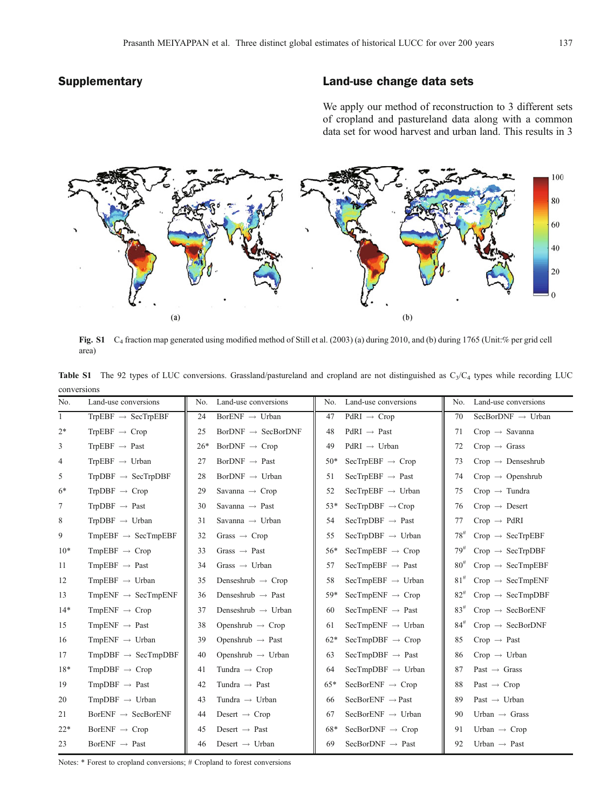# Supplementary Land-use change data sets

We apply our method of reconstruction to 3 different sets of cropland and pastureland data along with a common data set for wood harvest and urban land. This results in 3



Fig. S1 C<sub>4</sub> fraction map generated using modified method of Still et al. (2003) (a) during 2010, and (b) during 1765 (Unit:% per grid cell area)

|             | <b>Table S1</b> The 92 types of LUC conversions. Grassland/pastureland and cropland are not distinguished as $C_3/C_4$ types while recording LUC |  |  |  |  |
|-------------|--------------------------------------------------------------------------------------------------------------------------------------------------|--|--|--|--|
| conversions |                                                                                                                                                  |  |  |  |  |

| No.          | Land-use conversions           | No.   | Land-use conversions           | No.   | Land-use conversions          | No.             | Land-use conversions          |
|--------------|--------------------------------|-------|--------------------------------|-------|-------------------------------|-----------------|-------------------------------|
| $\mathbf{1}$ | $TrpEBF \rightarrow SecTrpEBF$ | 24    | BorENF $\rightarrow$ Urban     | 47    | $PdRI \rightarrow$ Crop       | 70              | SecBorDNF $\rightarrow$ Urban |
| $2*$         | $TrpEBF \rightarrow Crop$      | 25    | $BorDNF \rightarrow SecBorDNF$ | 48    | $PdRI \rightarrow Past$       | 71              | $Crop \rightarrow Savanna$    |
| 3            | TrpEBF $\rightarrow$ Past      | $26*$ | BorDNF $\rightarrow$ Crop      | 49    | $PdRI \rightarrow Urban$      | 72              | $Crop \rightarrow Grass$      |
| 4            | TrpEBF $\rightarrow$ Urban     | 27    | $BorDNF \rightarrow Past$      | $50*$ | $SecTrpEBF \rightarrow Crop$  | 73              | $Crop \rightarrow Denseshrub$ |
| 5            | $TrpDBF \rightarrow SecTrpDBF$ | 28    | BorDNF $\rightarrow$ Urban     | 51    | $SecTrpEBF \rightarrow Past$  | 74              | $Crop \rightarrow Openshrub$  |
| 6*           | TrpDBF $\rightarrow$ Crop      | 29    | Savanna $\rightarrow$ Crop     | 52    | $SecTrpEBF \rightarrow Urban$ | 75              | $Crop \rightarrow Tundra$     |
| 7            | TrpDBF $\rightarrow$ Past      | 30    | Savanna $\rightarrow$ Past     | $53*$ | $SecTrpDBF \rightarrow Crop$  | 76              | $Crop \rightarrow Desert$     |
| 8            | TrpDBF $\rightarrow$ Urban     | 31    | Savanna $\rightarrow$ Urban    | 54    | $SecTrpDBF \rightarrow Past$  | 77              | $Crop \rightarrow PdRI$       |
| 9            | $TmpEBF \rightarrow SecTmpEBF$ | 32    | Grass $\rightarrow$ Crop       | 55    | $SecTrpDBF \rightarrow Urban$ | 78#             | $Crop \rightarrow SecTrpEBF$  |
| $10*$        | $TmpEBF \rightarrow Crop$      | 33    | Grass $\rightarrow$ Past       | $56*$ | SecTmpEBF $\rightarrow$ Crop  | $79^{#}$        | $Crop \rightarrow SecTrpDBF$  |
| 11           | $TmpEBF \rightarrow$ Past      | 34    | Grass $\rightarrow$ Urban      | 57    | SecTmpEBF $\rightarrow$ Past  | $80^{#}$        | $Crop \rightarrow SecTmpEBF$  |
| 12           | $TmpEBF \rightarrow Urban$     | 35    | Denseshrub $\rightarrow$ Crop  | 58    | SecTmpEBF $\rightarrow$ Urban | 81 <sup>#</sup> | $Crop \rightarrow SecTmpENF$  |
| 13           | $TmpENF \rightarrow SecTmpENF$ | 36    | Denseshrub $\rightarrow$ Past  | 59*   | SecTmpENF $\rightarrow$ Crop  | $82^{#}$        | $Crop \rightarrow SecTmpDBF$  |
| $14*$        | $TmpENF \rightarrow Crop$      | 37    | Denseshrub $\rightarrow$ Urban | 60    | SecTmpENF $\rightarrow$ Past  | $83^{\#}$       | $Crop \rightarrow SecBorENF$  |
| 15           | TmpENF $\rightarrow$ Past      | 38    | Openshrub $\rightarrow$ Crop   | 61    | SecTmpENF $\rightarrow$ Urban | $84^{#}$        | $Crop \rightarrow SecBorDNF$  |
| 16           | TmpENF $\rightarrow$ Urban     | 39    | Openshrub $\rightarrow$ Past   | $62*$ | SecTmpDBF $\rightarrow$ Crop  | 85              | $Crop \rightarrow Past$       |
| 17           | $TmpDBF \rightarrow SecTmpDBF$ | 40    | Openshrub $\rightarrow$ Urban  | 63    | $SecTmpDBF \rightarrow Past$  | 86              | $Crop \rightarrow Urban$      |
| $18*$        | $TmpDBF \rightarrow Crop$      | 41    | Tundra $\rightarrow$ Crop      | 64    | SecTmpDBF $\rightarrow$ Urban | 87              | Past $\rightarrow$ Grass      |
| 19           | TmpDBF $\rightarrow$ Past      | 42    | Tundra $\rightarrow$ Past      | $65*$ | $SecBorENF \rightarrow Crop$  | 88              | Past $\rightarrow$ Crop       |
| 20           | $TmpDBF \rightarrow Urban$     | 43    | Tundra $\rightarrow$ Urban     | 66    | $SecBorENF \rightarrow Past$  | 89              | Past $\rightarrow$ Urban      |
| 21           | $BorENF \rightarrow SecBorENF$ | 44    | Desert $\rightarrow$ Crop      | 67    | SecBorENF $\rightarrow$ Urban | 90              | Urban $\rightarrow$ Grass     |
| $22*$        | BorENF $\rightarrow$ Crop      | 45    | Desert $\rightarrow$ Past      | 68*   | SecBorDNF $\rightarrow$ Crop  | 91              | Urban $\rightarrow$ Crop      |
| 23           | BorENF $\rightarrow$ Past      | 46    | Desert $\rightarrow$ Urban     | 69    | SecBorDNF $\rightarrow$ Past  | 92              | Urban $\rightarrow$ Past      |

Notes: \* Forest to cropland conversions; # Cropland to forest conversions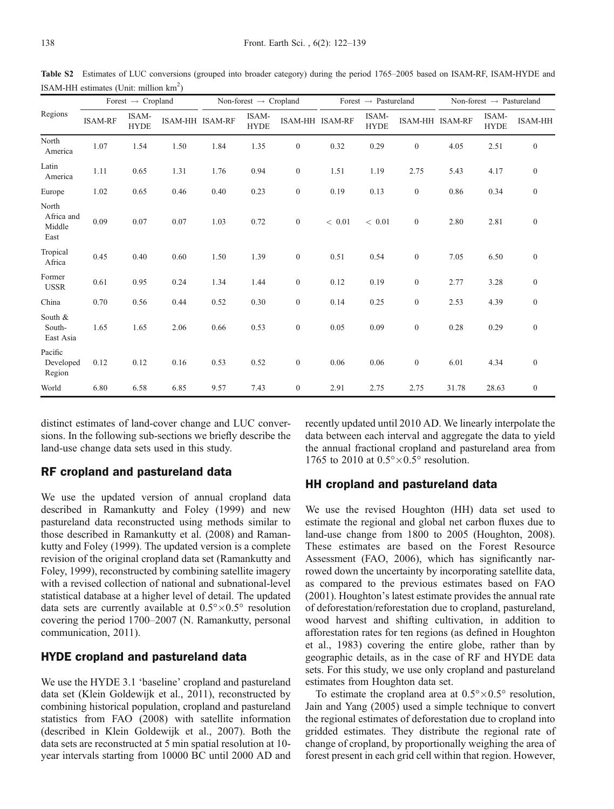| Table S2 Estimates of LUC conversions (grouped into broader category) during the period 1765–2005 based on ISAM-RF, ISAM-HYDE and |  |
|-----------------------------------------------------------------------------------------------------------------------------------|--|
| ISAM-HH estimates (Unit: million $km^2$ )                                                                                         |  |

|                                       | Forest $\rightarrow$ Cropland |                      |                 | Non-forest $\rightarrow$ Cropland |                      |                  | Forest $\rightarrow$ Pastureland |                      |                  | Non-forest $\rightarrow$ Pastureland |                      |                |
|---------------------------------------|-------------------------------|----------------------|-----------------|-----------------------------------|----------------------|------------------|----------------------------------|----------------------|------------------|--------------------------------------|----------------------|----------------|
| Regions                               | <b>ISAM-RF</b>                | ISAM-<br><b>HYDE</b> | ISAM-HH ISAM-RF |                                   | ISAM-<br><b>HYDE</b> | ISAM-HH ISAM-RF  |                                  | ISAM-<br><b>HYDE</b> | ISAM-HH ISAM-RF  |                                      | ISAM-<br><b>HYDE</b> | <b>ISAM-HH</b> |
| North<br>America                      | 1.07                          | 1.54                 | 1.50            | 1.84                              | 1.35                 | $\boldsymbol{0}$ | 0.32                             | 0.29                 | $\boldsymbol{0}$ | 4.05                                 | 2.51                 | $\mathbf{0}$   |
| Latin<br>America                      | 1.11                          | 0.65                 | 1.31            | 1.76                              | 0.94                 | $\boldsymbol{0}$ | 1.51                             | 1.19                 | 2.75             | 5.43                                 | 4.17                 | $\mathbf{0}$   |
| Europe                                | 1.02                          | 0.65                 | 0.46            | 0.40                              | 0.23                 | $\boldsymbol{0}$ | 0.19                             | 0.13                 | $\boldsymbol{0}$ | 0.86                                 | 0.34                 | $\mathbf{0}$   |
| North<br>Africa and<br>Middle<br>East | 0.09                          | 0.07                 | 0.07            | 1.03                              | 0.72                 | $\boldsymbol{0}$ | < 0.01                           | $<\,0.01$            | $\boldsymbol{0}$ | 2.80                                 | 2.81                 | $\mathbf{0}$   |
| Tropical<br>Africa                    | 0.45                          | 0.40                 | 0.60            | 1.50                              | 1.39                 | $\boldsymbol{0}$ | 0.51                             | 0.54                 | $\boldsymbol{0}$ | 7.05                                 | 6.50                 | $\mathbf{0}$   |
| Former<br><b>USSR</b>                 | 0.61                          | 0.95                 | 0.24            | 1.34                              | 1.44                 | $\boldsymbol{0}$ | 0.12                             | 0.19                 | $\boldsymbol{0}$ | 2.77                                 | 3.28                 | $\mathbf{0}$   |
| China                                 | 0.70                          | 0.56                 | 0.44            | 0.52                              | 0.30                 | $\boldsymbol{0}$ | 0.14                             | 0.25                 | $\boldsymbol{0}$ | 2.53                                 | 4.39                 | $\mathbf{0}$   |
| South &<br>South-<br>East Asia        | 1.65                          | 1.65                 | 2.06            | 0.66                              | 0.53                 | $\boldsymbol{0}$ | 0.05                             | 0.09                 | $\boldsymbol{0}$ | 0.28                                 | 0.29                 | $\mathbf{0}$   |
| Pacific<br>Developed<br>Region        | 0.12                          | 0.12                 | 0.16            | 0.53                              | 0.52                 | $\boldsymbol{0}$ | 0.06                             | 0.06                 | $\boldsymbol{0}$ | 6.01                                 | 4.34                 | $\mathbf{0}$   |
| World                                 | 6.80                          | 6.58                 | 6.85            | 9.57                              | 7.43                 | $\boldsymbol{0}$ | 2.91                             | 2.75                 | 2.75             | 31.78                                | 28.63                | $\mathbf{0}$   |

distinct estimates of land-cover change and LUC conversions. In the following sub-sections we briefly describe the land-use change data sets used in this study.

# RF cropland and pastureland data

We use the updated version of annual cropland data described in Ramankutty and Foley [\(1999](#page-14-0)) and new pastureland data reconstructed using methods similar to those described in Ramankutty et al. ([2008\)](#page-14-0) and Ramankutty and Foley ([1999\)](#page-14-0). The updated version is a complete revision of the original cropland data set ([Ramankutty and](#page-14-0) [Foley, 1999](#page-14-0)), reconstructed by combining satellite imagery with a revised collection of national and subnational-level statistical database at a higher level of detail. The updated data sets are currently available at  $0.5^{\circ} \times 0.5^{\circ}$  resolution covering the period 1700–2007 (N. Ramankutty, personal communication, 2011).

# HYDE cropland and pastureland data

We use the HYDE 3.1 'baseline' cropland and pastureland data set [\(Klein Goldewijk et al., 2011](#page-13-0)), reconstructed by combining historical population, cropland and pastureland statistics from FAO ([2008](#page-13-0)) with satellite information (described in [Klein Goldewijk et al., 2007\)](#page-13-0). Both the data sets are reconstructed at 5 min spatial resolution at 10 year intervals starting from 10000 BC until 2000 AD and

recently updated until 2010 AD. We linearly interpolate the data between each interval and aggregate the data to yield the annual fractional cropland and pastureland area from 1765 to 2010 at  $0.5^{\circ} \times 0.5^{\circ}$  resolution.

# HH cropland and pastureland data

We use the revised Houghton (HH) data set used to estimate the regional and global net carbon fluxes due to land-use change from 1800 to 2005 ([Houghton, 2008\)](#page-13-0). These estimates are based on the Forest Resource Assessment [\(FAO, 2006](#page-13-0)), which has significantly narrowed down the uncertainty by incorporating satellite data, as compared to the previous estimates based on FAO ([2001](#page-13-0)). Houghton's latest estimate provides the annual rate of deforestation/reforestation due to cropland, pastureland, wood harvest and shifting cultivation, in addition to afforestation rates for ten regions (as defined in [Houghton](#page-13-0) [et al., 1983\)](#page-13-0) covering the entire globe, rather than by geographic details, as in the case of RF and HYDE data sets. For this study, we use only cropland and pastureland estimates from Houghton data set.

To estimate the cropland area at  $0.5^{\circ} \times 0.5^{\circ}$  resolution, Jain and Yang [\(2005](#page-13-0)) used a simple technique to convert the regional estimates of deforestation due to cropland into gridded estimates. They distribute the regional rate of change of cropland, by proportionally weighing the area of forest present in each grid cell within that region. However,